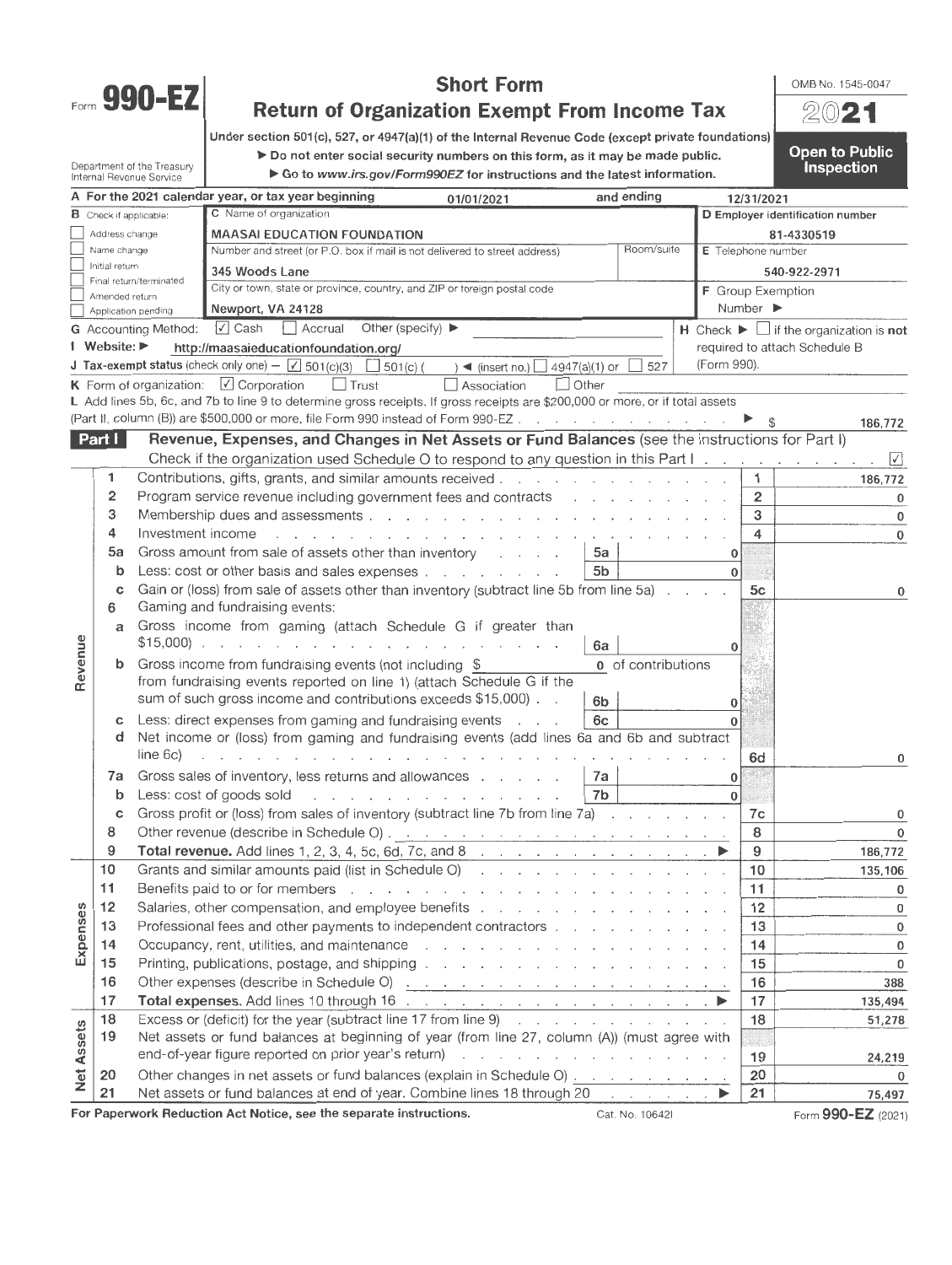

Department of the Treasury Internal Revenue Service

# **Short Form Return of Organization Exempt From Income Tax**

OMB No. 1545-0047

Open to Public **Inspection** 

Under section 501(c), 527, or 4947(a)(1) of the Internal Revenue Code (except private foundations)

 $\blacktriangleright$  Do not enter social security numbers on this form, as it may be made public.

▶ Go to www.irs.gov/Form990EZ for instructions and the latest information.

|            |                                |                             | A For the 2021 calendar year, or tax year beginning                                                                                                                                                                            | 01/01/2021                                                                                                                                                                                                                     | and ending                                                                                                                                                                                                                     |                                 | 12/31/2021                    |                                                                   |
|------------|--------------------------------|-----------------------------|--------------------------------------------------------------------------------------------------------------------------------------------------------------------------------------------------------------------------------|--------------------------------------------------------------------------------------------------------------------------------------------------------------------------------------------------------------------------------|--------------------------------------------------------------------------------------------------------------------------------------------------------------------------------------------------------------------------------|---------------------------------|-------------------------------|-------------------------------------------------------------------|
|            | <b>B</b> Check if applicable:  |                             | C Name of organization                                                                                                                                                                                                         |                                                                                                                                                                                                                                |                                                                                                                                                                                                                                |                                 |                               | D Employer identification number                                  |
|            | Address change                 |                             | <b>MAASAI EDUCATION FOUNDATION</b>                                                                                                                                                                                             |                                                                                                                                                                                                                                |                                                                                                                                                                                                                                |                                 |                               | 81-4330519                                                        |
|            | Name change                    |                             | Number and street (or P.O. box if mail is not delivered to street address)                                                                                                                                                     |                                                                                                                                                                                                                                | Room/suite                                                                                                                                                                                                                     |                                 | E Telephone number            |                                                                   |
|            | Initial return                 |                             | 345 Woods Lane                                                                                                                                                                                                                 |                                                                                                                                                                                                                                |                                                                                                                                                                                                                                |                                 |                               | 540-922-2971                                                      |
|            | Amended return                 | Final return/terminated     | City or town, state or province, country, and ZIP or foreign postal code                                                                                                                                                       |                                                                                                                                                                                                                                |                                                                                                                                                                                                                                |                                 | F Group Exemption             |                                                                   |
|            |                                | Application pending         | Newport, VA 24128                                                                                                                                                                                                              |                                                                                                                                                                                                                                |                                                                                                                                                                                                                                |                                 | Number ▶                      |                                                                   |
|            |                                | <b>G</b> Accounting Method: | $\sqrt{ }$ Cash<br>Accrual<br>Other (specify) $\blacktriangleright$                                                                                                                                                            |                                                                                                                                                                                                                                |                                                                                                                                                                                                                                |                                 |                               | $H$ Check $\blacktriangleright$ $\Box$ if the organization is not |
|            | Website: $\blacktriangleright$ |                             | http://maasaieducationfoundation.org/                                                                                                                                                                                          |                                                                                                                                                                                                                                |                                                                                                                                                                                                                                |                                 | required to attach Schedule B |                                                                   |
|            |                                |                             | <b>J Tax-exempt status</b> (check only one) $-\sqrt{501}$ (c)(3) $\Box$ 501(c) (                                                                                                                                               | $\rightarrow$ (insert no.) $\Box$ 4947(a)(1) or                                                                                                                                                                                | 527                                                                                                                                                                                                                            | (Form 990).                     |                               |                                                                   |
|            |                                |                             | $\Box$ Trust<br><b>K</b> Form of organization: $\boxed{\checkmark}$ Corporation                                                                                                                                                | $\vert$ Other<br>Association                                                                                                                                                                                                   |                                                                                                                                                                                                                                |                                 |                               |                                                                   |
|            |                                |                             | L Add lines 5b, 6c, and 7b to line 9 to determine gross receipts. If gross receipts are \$200,000 or more, or if total assets                                                                                                  |                                                                                                                                                                                                                                |                                                                                                                                                                                                                                |                                 |                               |                                                                   |
|            |                                |                             | (Part II, column (B)) are \$500,000 or more, file Form 990 instead of Form 990-EZ                                                                                                                                              |                                                                                                                                                                                                                                |                                                                                                                                                                                                                                |                                 |                               | 186,772                                                           |
|            | Part                           |                             | Revenue, Expenses, and Changes in Net Assets or Fund Balances (see the instructions for Part I)                                                                                                                                |                                                                                                                                                                                                                                |                                                                                                                                                                                                                                |                                 |                               |                                                                   |
|            |                                |                             | Check if the organization used Schedule O to respond to any question in this Part I.                                                                                                                                           |                                                                                                                                                                                                                                |                                                                                                                                                                                                                                |                                 |                               | $\sqrt{ }$                                                        |
|            | 1                              |                             | Contributions, gifts, grants, and similar amounts received                                                                                                                                                                     |                                                                                                                                                                                                                                |                                                                                                                                                                                                                                |                                 | 1                             | 186,772                                                           |
|            | 2                              |                             | Program service revenue including government fees and contracts and contain and containing the state of the state of the state of the state of the state of the state of the state of the state of the state of the state of t |                                                                                                                                                                                                                                |                                                                                                                                                                                                                                |                                 | 2                             | 0                                                                 |
|            | 3                              |                             |                                                                                                                                                                                                                                |                                                                                                                                                                                                                                |                                                                                                                                                                                                                                |                                 | 3                             | 0                                                                 |
|            | 4                              | Investment income           | $\mathbf{L} = \mathbf{L} \times \mathbf{L}$                                                                                                                                                                                    | the contract of the contract of the contract of the contract of the contract of the contract of the contract of the contract of the contract of the contract of the contract of the contract of the contract of the contract o |                                                                                                                                                                                                                                |                                 | 4                             | 0                                                                 |
|            | 5a                             |                             | Gross amount from sale of assets other than inventory                                                                                                                                                                          |                                                                                                                                                                                                                                | 5a                                                                                                                                                                                                                             | 0                               |                               |                                                                   |
|            | b                              |                             | Less: cost or other basis and sales expenses                                                                                                                                                                                   |                                                                                                                                                                                                                                | 5b                                                                                                                                                                                                                             | $\mathbf{0}$                    |                               |                                                                   |
|            | С                              |                             | Gain or (loss) from sale of assets other than inventory (subtract line 5b from line 5a)                                                                                                                                        |                                                                                                                                                                                                                                |                                                                                                                                                                                                                                |                                 | 5с                            | 0                                                                 |
|            | 6                              |                             | Gaming and fundraising events:                                                                                                                                                                                                 |                                                                                                                                                                                                                                |                                                                                                                                                                                                                                |                                 |                               |                                                                   |
|            | a                              |                             | Gross income from gaming (attach Schedule G if greater than                                                                                                                                                                    |                                                                                                                                                                                                                                |                                                                                                                                                                                                                                |                                 |                               |                                                                   |
|            |                                |                             | $$15,000$                                                                                                                                                                                                                      |                                                                                                                                                                                                                                | 6а                                                                                                                                                                                                                             | 0                               |                               |                                                                   |
| Revenue    | b                              |                             | Gross income from fundraising events (not including \$                                                                                                                                                                         |                                                                                                                                                                                                                                | 0 of contributions                                                                                                                                                                                                             |                                 |                               |                                                                   |
|            |                                |                             | from fundraising events reported on line 1) (attach Schedule G if the                                                                                                                                                          |                                                                                                                                                                                                                                |                                                                                                                                                                                                                                |                                 |                               |                                                                   |
|            |                                |                             | sum of such gross income and contributions exceeds \$15,000).                                                                                                                                                                  |                                                                                                                                                                                                                                | 6 <sub>b</sub>                                                                                                                                                                                                                 | 0                               |                               |                                                                   |
|            | с                              |                             | Less: direct expenses from gaming and fundraising events                                                                                                                                                                       | $\cdots$                                                                                                                                                                                                                       | 6c                                                                                                                                                                                                                             | $\mathbf{0}$                    |                               |                                                                   |
|            | d                              |                             | Net income or (loss) from gaming and fundraising events (add lines 6a and 6b and subtract                                                                                                                                      |                                                                                                                                                                                                                                |                                                                                                                                                                                                                                |                                 |                               |                                                                   |
|            |                                | line 6c)                    | the contract of the contract of the contract of the contract of the contract of the contract of the contract of                                                                                                                |                                                                                                                                                                                                                                |                                                                                                                                                                                                                                |                                 | 6d                            | 0                                                                 |
|            | 7a                             |                             | Gross sales of inventory, less returns and allowances                                                                                                                                                                          |                                                                                                                                                                                                                                | 7a                                                                                                                                                                                                                             | 0                               |                               |                                                                   |
|            | b                              |                             | Less: cost of goods sold                                                                                                                                                                                                       | design and contract the contract of the con-                                                                                                                                                                                   | 7b                                                                                                                                                                                                                             | $\mathbf{0}$                    |                               |                                                                   |
|            | с                              |                             | Gross profit or (loss) from sales of inventory (subtract line 7b from line 7a)                                                                                                                                                 |                                                                                                                                                                                                                                |                                                                                                                                                                                                                                |                                 | 7c                            | 0                                                                 |
|            | 8                              |                             |                                                                                                                                                                                                                                |                                                                                                                                                                                                                                |                                                                                                                                                                                                                                |                                 | 8                             | $\mathbf{0}$                                                      |
|            | 9                              |                             |                                                                                                                                                                                                                                |                                                                                                                                                                                                                                |                                                                                                                                                                                                                                |                                 | 9                             | 186,772                                                           |
|            | 10                             |                             | Grants and similar amounts paid (list in Schedule O)                                                                                                                                                                           |                                                                                                                                                                                                                                |                                                                                                                                                                                                                                |                                 | 10                            | 135,106                                                           |
|            | 11                             |                             |                                                                                                                                                                                                                                |                                                                                                                                                                                                                                |                                                                                                                                                                                                                                |                                 | 11                            |                                                                   |
|            | 12                             |                             | Benefits paid to or for members                                                                                                                                                                                                | a construction of the construction of the construction of the construction of the construction of the construction of the construction of the construction of the construction of the construction of the construction of the  |                                                                                                                                                                                                                                |                                 | 12                            | 0<br>0                                                            |
| ഗ          |                                |                             | Salaries, other compensation, and employee benefits                                                                                                                                                                            |                                                                                                                                                                                                                                |                                                                                                                                                                                                                                |                                 |                               |                                                                   |
|            | 13                             |                             | Professional fees and other payments to independent contractors                                                                                                                                                                |                                                                                                                                                                                                                                |                                                                                                                                                                                                                                |                                 | 13<br>14                      | $\pmb{0}$                                                         |
| Expense    | 14                             |                             | Occupancy, rent, utilities, and maintenance response to the contract of the contract of the contract of the contract of the contract of the contract of the contract of the contract of the contract of the contract of the co |                                                                                                                                                                                                                                |                                                                                                                                                                                                                                |                                 |                               | 0                                                                 |
|            | 15                             |                             | Printing, publications, postage, and shipping referred and a series and set of the series of the series of the series of the series of the series of the series of the series of the series of the series of the series of the |                                                                                                                                                                                                                                |                                                                                                                                                                                                                                |                                 | 15                            | 0                                                                 |
|            | 16                             |                             |                                                                                                                                                                                                                                |                                                                                                                                                                                                                                |                                                                                                                                                                                                                                |                                 | 16                            | 388                                                               |
|            | 17                             |                             | Total expenses. Add lines 10 through 16 (a) and a contract of the contract of better and the best of the best of the best of the best of the best of the best of the best of the best of the best of the best of the best of   |                                                                                                                                                                                                                                |                                                                                                                                                                                                                                |                                 | 17                            | 135,494                                                           |
|            | 18                             |                             | Excess or (deficit) for the year (subtract line 17 from line 9)                                                                                                                                                                |                                                                                                                                                                                                                                | the companies of the companies of the companies of the companies of the companies of the companies of the companies of the companies of the companies of the companies of the companies of the companies of the companies of t |                                 | 18                            | 51,278                                                            |
|            | 19                             |                             | Net assets or fund balances at beginning of year (from line 27, column (A)) (must agree with                                                                                                                                   |                                                                                                                                                                                                                                |                                                                                                                                                                                                                                |                                 |                               |                                                                   |
| Net Assets |                                |                             | end-of-year figure reported on prior year's return)                                                                                                                                                                            | and a series of the company of the series of the series of                                                                                                                                                                     |                                                                                                                                                                                                                                |                                 | 19                            | 24,219                                                            |
|            | 20                             |                             | Other changes in net assets or fund balances (explain in Schedule O)                                                                                                                                                           |                                                                                                                                                                                                                                |                                                                                                                                                                                                                                |                                 | 20                            | $\bf{0}$                                                          |
|            | 21                             |                             | Net assets or fund balances at end of year. Combine lines 18 through 20                                                                                                                                                        |                                                                                                                                                                                                                                |                                                                                                                                                                                                                                | and a state of the state of the | 21                            | 75,497                                                            |
|            |                                |                             | For Paperwork Reduction Act Notice, see the separate instructions.                                                                                                                                                             |                                                                                                                                                                                                                                | Cat. No. 10642l                                                                                                                                                                                                                |                                 |                               | Form 990-EZ (2021)                                                |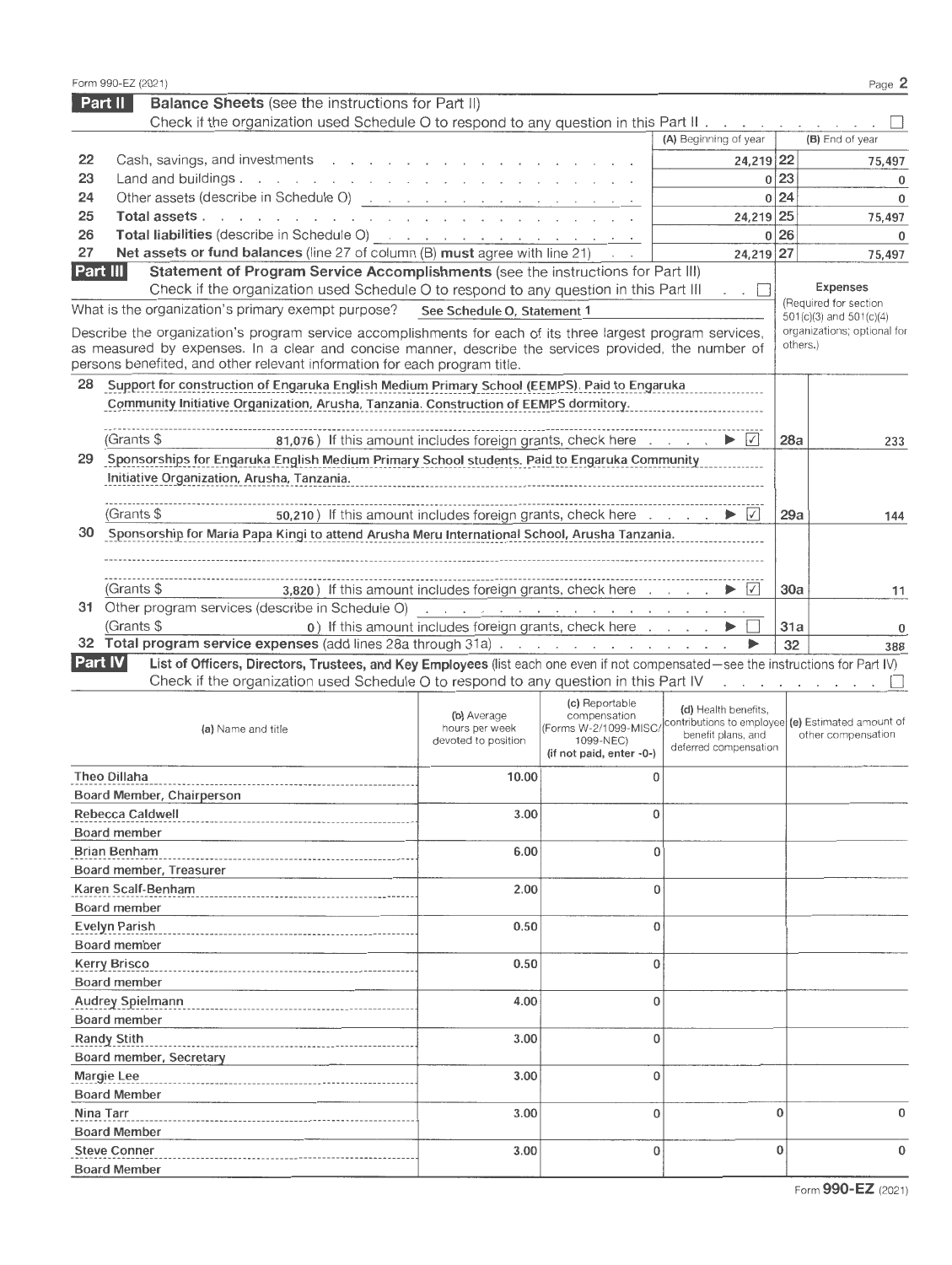|                | Form 990-EZ (2021)                                                                                                                                                                                                             |                                                       |                                       |                                                     |              | Page 2                                                                  |
|----------------|--------------------------------------------------------------------------------------------------------------------------------------------------------------------------------------------------------------------------------|-------------------------------------------------------|---------------------------------------|-----------------------------------------------------|--------------|-------------------------------------------------------------------------|
|                | Part II<br><b>Balance Sheets</b> (see the instructions for Part II)                                                                                                                                                            |                                                       |                                       |                                                     |              |                                                                         |
|                | Check if the organization used Schedule O to respond to any question in this Part II.                                                                                                                                          |                                                       |                                       |                                                     |              |                                                                         |
|                |                                                                                                                                                                                                                                |                                                       |                                       | (A) Beginning of year                               |              | (B) End of year                                                         |
| 22             | Cash, savings, and investments                                                                                                                                                                                                 |                                                       |                                       | 24,219 22                                           |              | 75,497                                                                  |
| 23             | Land and buildings.                                                                                                                                                                                                            |                                                       |                                       |                                                     | 0 23         | $\mathbf 0$                                                             |
| 24             | Other assets (describe in Schedule O) <u>.</u>                                                                                                                                                                                 |                                                       |                                       |                                                     | 0 24         | $\mathbf 0$                                                             |
| 25             | Total assets                                                                                                                                                                                                                   |                                                       |                                       | 24,219 25                                           |              | 75,497                                                                  |
| 26             | Total liabilities (describe in Schedule O) and a substitution of the set of the set of the set of the set of the set of the set of the set of the set of the set of the set of the set of the set of the set of the set of the |                                                       |                                       |                                                     | 0 26         | $\mathbf 0$                                                             |
| 27             | Net assets or fund balances (line 27 of column (B) must agree with line 21)                                                                                                                                                    |                                                       |                                       | 24,219 27                                           |              | 75,497                                                                  |
| Part III       | Statement of Program Service Accomplishments (see the instructions for Part III)                                                                                                                                               |                                                       |                                       |                                                     |              |                                                                         |
|                | Check if the organization used Schedule O to respond to any question in this Part III                                                                                                                                          |                                                       |                                       | $\overline{\phantom{a}}$ . $\overline{\phantom{a}}$ |              | <b>Expenses</b>                                                         |
|                | What is the organization's primary exempt purpose?                                                                                                                                                                             | See Schedule O, Statement 1                           |                                       |                                                     |              | (Required for section<br>501(c)(3) and 501(c)(4)                        |
|                | Describe the organization's program service accomplishments for each of its three largest program services,                                                                                                                    |                                                       |                                       |                                                     |              | organizations; optional for                                             |
|                | as measured by expenses. In a clear and concise manner, describe the services provided, the number of                                                                                                                          |                                                       |                                       |                                                     |              | others.)                                                                |
|                | persons benefited, and other relevant information for each program title.                                                                                                                                                      |                                                       |                                       |                                                     |              |                                                                         |
| 28             | Support for construction of Engaruka English Medium Primary School (EEMPS). Paid to Engaruka                                                                                                                                   |                                                       |                                       |                                                     |              |                                                                         |
|                | Community Initiative Organization, Arusha, Tanzania. Construction of EEMPS dormitory.                                                                                                                                          |                                                       |                                       |                                                     |              |                                                                         |
|                |                                                                                                                                                                                                                                |                                                       |                                       |                                                     |              |                                                                         |
|                | (Grants \$<br>81,076) If this amount includes foreign grants, check here                                                                                                                                                       |                                                       |                                       | $\vert\checkmark\vert$                              | 28a          | 233                                                                     |
| 29             | Sponsorships for Engaruka English Medium Primary School students. Paid to Engaruka Community                                                                                                                                   |                                                       |                                       |                                                     |              |                                                                         |
|                | Initiative Organization, Arusha, Tanzania.                                                                                                                                                                                     |                                                       |                                       |                                                     |              |                                                                         |
|                |                                                                                                                                                                                                                                |                                                       |                                       |                                                     |              |                                                                         |
|                | 50,210) If this amount includes foreign grants, check here<br>(Grants \$                                                                                                                                                       |                                                       |                                       | $\sqrt{}$                                           | 29a          | 144                                                                     |
| 30             | Sponsorship for Maria Papa Kingi to attend Arusha Meru International School, Arusha Tanzania.                                                                                                                                  |                                                       |                                       |                                                     |              |                                                                         |
|                |                                                                                                                                                                                                                                |                                                       |                                       |                                                     |              |                                                                         |
|                |                                                                                                                                                                                                                                |                                                       |                                       |                                                     |              |                                                                         |
|                | 3,820) If this amount includes foreign grants, check here<br>(Grants \$                                                                                                                                                        |                                                       |                                       |                                                     | 30a          | 11                                                                      |
|                | 31 Other program services (describe in Schedule O) and a contract of the contract of the contract of the contract of the contract of the contract of the contract of the contract of the contract of the contract of the contr |                                                       |                                       |                                                     |              |                                                                         |
|                | (Grants \$                                                                                                                                                                                                                     | 0) If this amount includes foreign grants, check here |                                       |                                                     | 31a          | 0                                                                       |
|                | 32 Total program service expenses (add lines 28a through 31a)                                                                                                                                                                  |                                                       |                                       | ▶                                                   | 32           | 388                                                                     |
| <b>Part IV</b> | List of Officers, Directors, Trustees, and Key Employees (list each one even if not compensated-see the instructions for Part IV)                                                                                              |                                                       |                                       |                                                     |              |                                                                         |
|                | Check if the organization used Schedule O to respond to any question in this Part IV                                                                                                                                           |                                                       |                                       |                                                     |              | and a state of the state of the                                         |
|                |                                                                                                                                                                                                                                |                                                       |                                       |                                                     |              |                                                                         |
|                |                                                                                                                                                                                                                                |                                                       |                                       |                                                     |              |                                                                         |
|                |                                                                                                                                                                                                                                | (b) Average                                           | (c) Reportable<br>compensation        | (d) Health benefits,                                |              |                                                                         |
|                | (a) Name and title                                                                                                                                                                                                             | hours per week                                        | (Forms W-2/1099-MISC                  | benefit plans, and                                  |              | contributions to employee (e) Estimated amount of<br>other compensation |
|                |                                                                                                                                                                                                                                | devoted to position                                   | 1099-NEC)<br>(if not paid, enter -0-) | deferred compensation                               |              |                                                                         |
|                |                                                                                                                                                                                                                                |                                                       |                                       |                                                     |              |                                                                         |
|                | Theo Dillaha                                                                                                                                                                                                                   | 10.00                                                 | 0                                     |                                                     |              |                                                                         |
|                | Board Member, Chairperson                                                                                                                                                                                                      |                                                       |                                       |                                                     |              |                                                                         |
|                | Rebecca Caldwell                                                                                                                                                                                                               | 3.00                                                  | $\bf{0}$                              |                                                     |              |                                                                         |
|                | Board member                                                                                                                                                                                                                   |                                                       |                                       |                                                     |              |                                                                         |
|                | <b>Brian Benham</b>                                                                                                                                                                                                            | 6.00                                                  | $\bf{0}$                              |                                                     |              |                                                                         |
|                | Board member, Treasurer                                                                                                                                                                                                        |                                                       |                                       |                                                     |              |                                                                         |
|                | Karen Scalf-Benham                                                                                                                                                                                                             | 2.00                                                  | $\bf{0}$                              |                                                     |              |                                                                         |
|                | Board member                                                                                                                                                                                                                   |                                                       |                                       |                                                     |              |                                                                         |
|                | <b>Evelyn Parish</b>                                                                                                                                                                                                           | 0.50                                                  | 0                                     |                                                     |              |                                                                         |
|                | <b>Board member</b>                                                                                                                                                                                                            |                                                       |                                       |                                                     |              |                                                                         |
|                | <b>Kerry Brisco</b>                                                                                                                                                                                                            | 0.50                                                  | $\bf{0}$                              |                                                     |              |                                                                         |
|                | Board member                                                                                                                                                                                                                   |                                                       |                                       |                                                     |              |                                                                         |
|                | <b>Audrey Spielmann</b>                                                                                                                                                                                                        | 4.00                                                  | $\bf{0}$                              |                                                     |              |                                                                         |
|                | Board member                                                                                                                                                                                                                   |                                                       |                                       |                                                     |              |                                                                         |
|                | <b>Randy Stith</b>                                                                                                                                                                                                             | 3.00                                                  | $\bf{0}$                              |                                                     |              |                                                                         |
|                | Board member, Secretary                                                                                                                                                                                                        |                                                       |                                       |                                                     |              |                                                                         |
|                | <b>Margie Lee</b>                                                                                                                                                                                                              | 3.00                                                  | 0                                     |                                                     |              |                                                                         |
|                | <b>Board Member</b>                                                                                                                                                                                                            |                                                       |                                       |                                                     |              |                                                                         |
|                | Nina Tarr                                                                                                                                                                                                                      | 3.00                                                  | $\bf{0}$                              |                                                     | $\mathbf{0}$ | 0                                                                       |
|                |                                                                                                                                                                                                                                |                                                       |                                       |                                                     |              |                                                                         |
|                | <b>Board Member</b>                                                                                                                                                                                                            |                                                       |                                       |                                                     | $\bf{0}$     | 0                                                                       |
|                | <b>Steve Conner</b><br><b>Board Member</b>                                                                                                                                                                                     | 3.00                                                  | 0                                     |                                                     |              |                                                                         |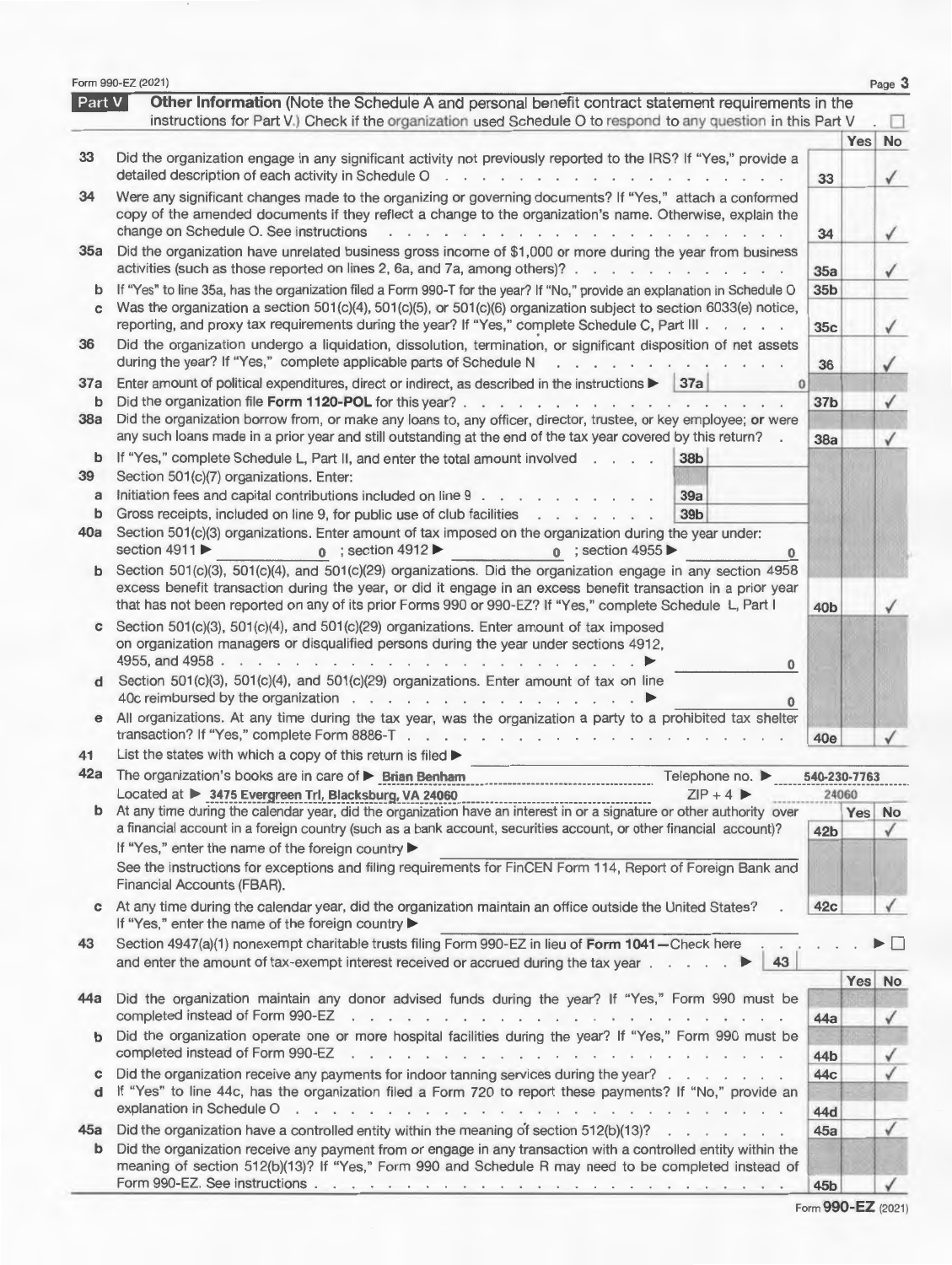|                 | Form 990-EZ (2021)                                                                                                                                                                                                                                                                                                                               |                        |       | Page 3                 |
|-----------------|--------------------------------------------------------------------------------------------------------------------------------------------------------------------------------------------------------------------------------------------------------------------------------------------------------------------------------------------------|------------------------|-------|------------------------|
| <b>Part V</b>   | Other Information (Note the Schedule A and personal benefit contract statement requirements in the<br>instructions for Part V.) Check if the organization used Schedule O to respond to any question in this Part V.                                                                                                                             |                        |       |                        |
|                 |                                                                                                                                                                                                                                                                                                                                                  |                        | Yes   | No                     |
| 33              | Did the organization engage in any significant activity not previously reported to the IRS? If "Yes," provide a<br>detailed description of each activity in Schedule $0 \cdot \cdot \cdot \cdot \cdot \cdot \cdot \cdot$                                                                                                                         | 33                     |       |                        |
| 34              | Were any significant changes made to the organizing or governing documents? If "Yes," attach a conformed<br>copy of the amended documents if they reflect a change to the organization's name. Otherwise, explain the<br>change on Schedule O. See instructions<br>$\sim$ $\sim$ $\sim$<br>. .<br>$\cdots$                                       | 34                     |       |                        |
| 35a             | Did the organization have unrelated business gross income of \$1,000 or more during the year from business<br>activities (such as those reported on lines 2, 6a, and 7a, among others)?                                                                                                                                                          | 35a                    |       | ✓                      |
| b<br>C          | If "Yes" to line 35a, has the organization filed a Form 990-T for the year? If "No," provide an explanation in Schedule O<br>Was the organization a section 501(c)(4), 501(c)(5), or 501(c)(6) organization subject to section 6033(e) notice,<br>reporting, and proxy tax requirements during the year? If "Yes," complete Schedule C, Part III | 35 <sub>b</sub><br>35c |       |                        |
| 36              | Did the organization undergo a liquidation, dissolution, termination, or significant disposition of net assets<br>during the year? If "Yes," complete applicable parts of Schedule N<br>$\cdot$ $\cdot$ $\cdot$ $\cdot$ $\cdot$ $\cdot$                                                                                                          | 36                     |       |                        |
| 37a<br>b<br>38a | Enter amount of political expenditures, direct or indirect, as described in the instructions<br>37a<br>$\bf{0}$<br>Did the organization file Form 1120-POL for this year?.<br>.<br>Did the organization borrow from, or make any loans to, any officer, director, trustee, or key employee; or were                                              | 37 <sub>b</sub>        |       | ✓                      |
| b<br>39         | any such loans made in a prior year and still outstanding at the end of the tax year covered by this return? .<br>If "Yes," complete Schedule L, Part II, and enter the total amount involved<br>38b<br>Section 501(c)(7) organizations. Enter:                                                                                                  | 38a                    |       | ✓                      |
| a<br>b          | Initiation fees and capital contributions included on line 9<br>39a<br>39 <sub>b</sub><br>Gross receipts, included on line 9, for public use of club facilities                                                                                                                                                                                  |                        |       |                        |
| 40a             | Section 501(c)(3) organizations. Enter amount of tax imposed on the organization during the year under:<br>section 4911<br>$\circ$ ; section 4955<br>; section $4912 \blacktriangleright$<br>$\mathbf{0}$                                                                                                                                        |                        |       |                        |
|                 | $b$ Section 501(c)(3), 501(c)(4), and 501(c)(29) organizations. Did the organization engage in any section 4958<br>excess benefit transaction during the year, or did it engage in an excess benefit transaction in a prior year<br>that has not been reported on any of its prior Forms 990 or 990-EZ? If "Yes," complete Schedule L, Part I    | 40 <sub>b</sub>        |       |                        |
| С               | Section 501(c)(3), 501(c)(4), and 501(c)(29) organizations. Enter amount of tax imposed<br>on organization managers or disqualified persons during the year under sections 4912,<br>4955, and 4958.<br>$\sim$ $\sim$ $\sim$<br>0                                                                                                                 |                        |       |                        |
| d               | Section 501(c)(3), 501(c)(4), and 501(c)(29) organizations. Enter amount of tax on line<br>40c reimbursed by the organization                                                                                                                                                                                                                    |                        |       |                        |
| $\mathbf e$     | All organizations. At any time during the tax year, was the organization a party to a prohibited tax shelter<br>transaction? If "Yes," complete Form 8886-T $\ldots$ ,                                                                                                                                                                           | 40e                    |       |                        |
| 41              | List the states with which a copy of this return is filed $\blacktriangleright$                                                                                                                                                                                                                                                                  |                        |       |                        |
| 42a             | Telephone no. ▶<br>The organization's books are in care of ▶ Brian Benham<br>$ZIP + 4$<br>Located at ▶ 3475 Evergreen Trl, Blacksburg, VA 24060                                                                                                                                                                                                  | 540-230-7763           | 24060 |                        |
|                 | $\frac{217 + 4}{1712 + 4}$<br>b At any time during the calendar year, did the organization have an interest in or a signature or other authority over<br>a financial account in a foreign country (such as a bank account, securities account, or other financial account)?<br>If "Yes," enter the name of the foreign country                   | 42 <sub>b</sub>        |       | Yes No<br>$\checkmark$ |
|                 | See the instructions for exceptions and filing requirements for FinCEN Form 114, Report of Foreign Bank and<br>Financial Accounts (FBAR).                                                                                                                                                                                                        |                        |       |                        |
| c               | At any time during the calendar year, did the organization maintain an office outside the United States?<br>If "Yes," enter the name of the foreign country                                                                                                                                                                                      | 42c                    |       |                        |
| 43              | Section 4947(a)(1) nonexempt charitable trusts filing Form 990-EZ in lieu of Form 1041-Check here<br>and enter the amount of tax-exempt interest received or accrued during the tax year $\ldots$ $\ldots$<br>43                                                                                                                                 |                        |       |                        |
| 44a             | Did the organization maintain any donor advised funds during the year? If "Yes," Form 990 must be                                                                                                                                                                                                                                                | 44a                    |       | Yes No<br>√            |
| b               | Did the organization operate one or more hospital facilities during the year? If "Yes," Form 990 must be                                                                                                                                                                                                                                         | 44b                    |       | √                      |
| С<br>d          | Did the organization receive any payments for indoor tanning services during the year?<br>If "Yes" to line 44c, has the organization filed a Form 720 to report these payments? If "No," provide an                                                                                                                                              | 44c                    |       |                        |
|                 |                                                                                                                                                                                                                                                                                                                                                  | 44d                    |       |                        |
| 45a<br>b        | Did the organization have a controlled entity within the meaning of section $512(b)(13)?$<br>Did the organization receive any payment from or engage in any transaction with a controlled entity within the<br>meaning of section 512(b)(13)? If "Yes," Form 990 and Schedule R may need to be completed instead of                              | 45a                    |       | √                      |
|                 |                                                                                                                                                                                                                                                                                                                                                  | 45b                    |       |                        |

Form 990-EZ (2021)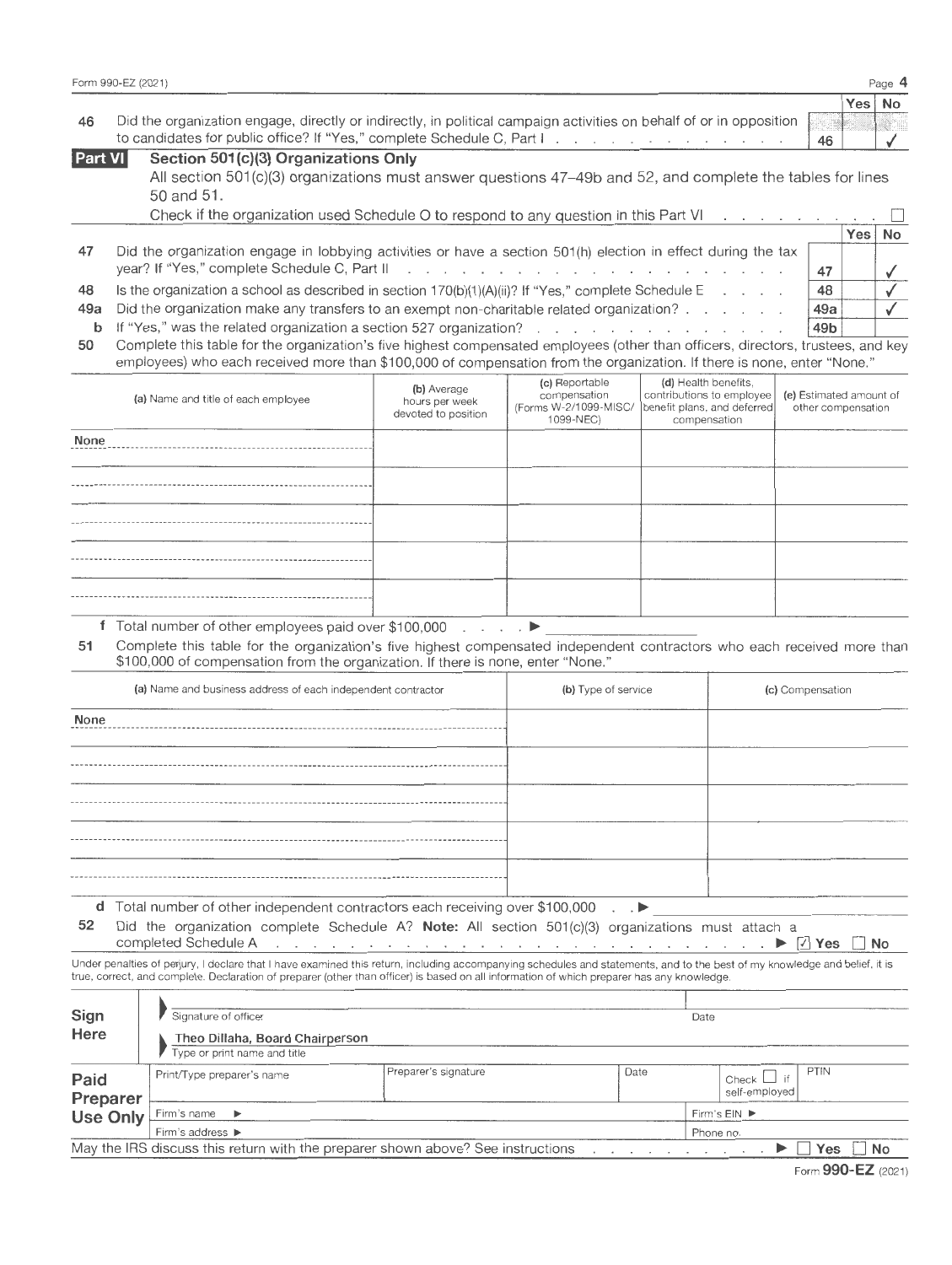|    | Form 990-EZ (2021)                                                                                                  |    |     | Page $4$  |
|----|---------------------------------------------------------------------------------------------------------------------|----|-----|-----------|
|    |                                                                                                                     |    | Yes | <b>No</b> |
| 46 | Did the organization engage, directly or indirectly, in political campaign activities on behalf of or in opposition |    |     |           |
|    |                                                                                                                     | 46 |     |           |
|    | $Pov1$ $N1$ $Pov2$ $Pov3 = Pov1$ $Pov2 = Pov1$ $Pov3 = Pov2$                                                        |    |     |           |

| <b>Part VI</b> | Section 501(c)(3) Organizations Only<br>All section 501(c)(3) organizations must answer questions 47–49b and 52, and complete the tables for lines<br>50 and 51.                                                                                                                                                                                |    |          |  |
|----------------|-------------------------------------------------------------------------------------------------------------------------------------------------------------------------------------------------------------------------------------------------------------------------------------------------------------------------------------------------|----|----------|--|
|                | Check if the organization used Schedule O to respond to any question in this Part VI $\ldots$ $\Box$                                                                                                                                                                                                                                            |    | Yes   No |  |
| 47             | Did the organization engage in lobbying activities or have a section 501(h) election in effect during the tax<br>year? If "Yes," complete Schedule C, Part II and a subset of the content of the C set of the C set of the C, Part II and a subset of the content of the C set of the C set of the C set of the C set of the C set of the C set | 47 |          |  |

| 48 Is the organization a school as described in section $170(b)(1)(A)(ii)?$ If "Yes," complete Schedule E. | $\frac{1}{48}$ $\sqrt{}$ |  |
|------------------------------------------------------------------------------------------------------------|--------------------------|--|
| 49a Did the organization make any transfers to an exempt non-charitable related organization? $\ldots$     | $49a$ $\sqrt{ }$         |  |
|                                                                                                            |                          |  |

**b**  If "Yes," was the related organization a section 527 organization? **49b** 

50 Complete this table for the organization's five highest compensated employees (other than officers, directors, trustees, and key employees) who each received more than \$100,000 of compensation from the organization. If there is none, enter "None."

| (a) Name and title of each employee | (b) Average<br>hours per week<br>devoted to position | (c) Reportable<br>compensation<br>1099-NEC) | (d) Health benefits,<br>contributions to employee  <br>(Forms W-2/1099-MISC/ benefit plans, and deferred)<br>compensation | (e) Estimated amount of<br>other compensation |
|-------------------------------------|------------------------------------------------------|---------------------------------------------|---------------------------------------------------------------------------------------------------------------------------|-----------------------------------------------|
| None                                |                                                      |                                             |                                                                                                                           |                                               |
|                                     |                                                      |                                             |                                                                                                                           |                                               |
|                                     |                                                      |                                             |                                                                                                                           |                                               |
|                                     |                                                      |                                             |                                                                                                                           |                                               |
|                                     |                                                      |                                             |                                                                                                                           |                                               |

**<sup>f</sup>**Total number of other employees paid over \$100,000 . ~---------------- **<sup>51</sup>**Complete this table for the organization's five highest compensated independent contractors who each received more than \$100,000 of compensation from the organization. If there is none, enter "None."

| (a) Name and business address of each independent contractor                                                                                                                                                                                                                                                | (b) Type of service | (c) Compensation |
|-------------------------------------------------------------------------------------------------------------------------------------------------------------------------------------------------------------------------------------------------------------------------------------------------------------|---------------------|------------------|
| None                                                                                                                                                                                                                                                                                                        |                     |                  |
|                                                                                                                                                                                                                                                                                                             |                     |                  |
|                                                                                                                                                                                                                                                                                                             |                     |                  |
|                                                                                                                                                                                                                                                                                                             |                     |                  |
|                                                                                                                                                                                                                                                                                                             |                     |                  |
|                                                                                                                                                                                                                                                                                                             |                     |                  |
| $\mathbf{1}$ , $\mathbf{1}$ , $\mathbf{1}$ , $\mathbf{1}$ , $\mathbf{1}$ , $\mathbf{1}$ , $\mathbf{1}$ , $\mathbf{1}$ , $\mathbf{1}$ , $\mathbf{1}$ , $\mathbf{1}$ , $\mathbf{1}$ , $\mathbf{1}$ , $\mathbf{1}$ , $\mathbf{1}$ , $\mathbf{1}$ , $\mathbf{1}$ , $\mathbf{1}$ , $\mathbf{1}$ , $\mathbf{1}$ , | $\sim$              |                  |

**d** Total number of other independent contractors each receiving over \$100,000  $\blacksquare$ 

**52** Did the organization complete Schedule A? **Note:** All section 501(c)(3) organizations must attach a Did the organization complete Schedule A? **Note:** All section 501(c)(3) organizations must attach a completed Schedule A

. ~ 0 **Yes 0 No**   $\mathcal{A}=\mathcal{A}=\mathcal{A}=\mathcal{A}$ Under penalties of perjury, I declare that I have examined this return, including accompanying schedules and statements, and to the best of my knowledge and belief, it is<br>true, correct, and complete. Declaration of prepare

| Sign<br>Here     | Signature of officer<br>Theo Dillaha, Board Chairperson<br>Type or print name and title |                                                                                 |      | Date                                            |    |
|------------------|-----------------------------------------------------------------------------------------|---------------------------------------------------------------------------------|------|-------------------------------------------------|----|
| Paid<br>Preparer | Print/Type preparer's name                                                              | Preparer's signature                                                            | Date | <b>PTIN</b><br>Check $\Box$ if<br>self-employed |    |
| Use Only         | Firm's name $\blacktriangleright$                                                       |                                                                                 |      | Firm's EIN ▶                                    |    |
|                  | Firm's address ▶                                                                        |                                                                                 |      | Phone no.                                       |    |
|                  |                                                                                         | May the IRS discuss this return with the preparer shown above? See instructions |      | Yes                                             | No |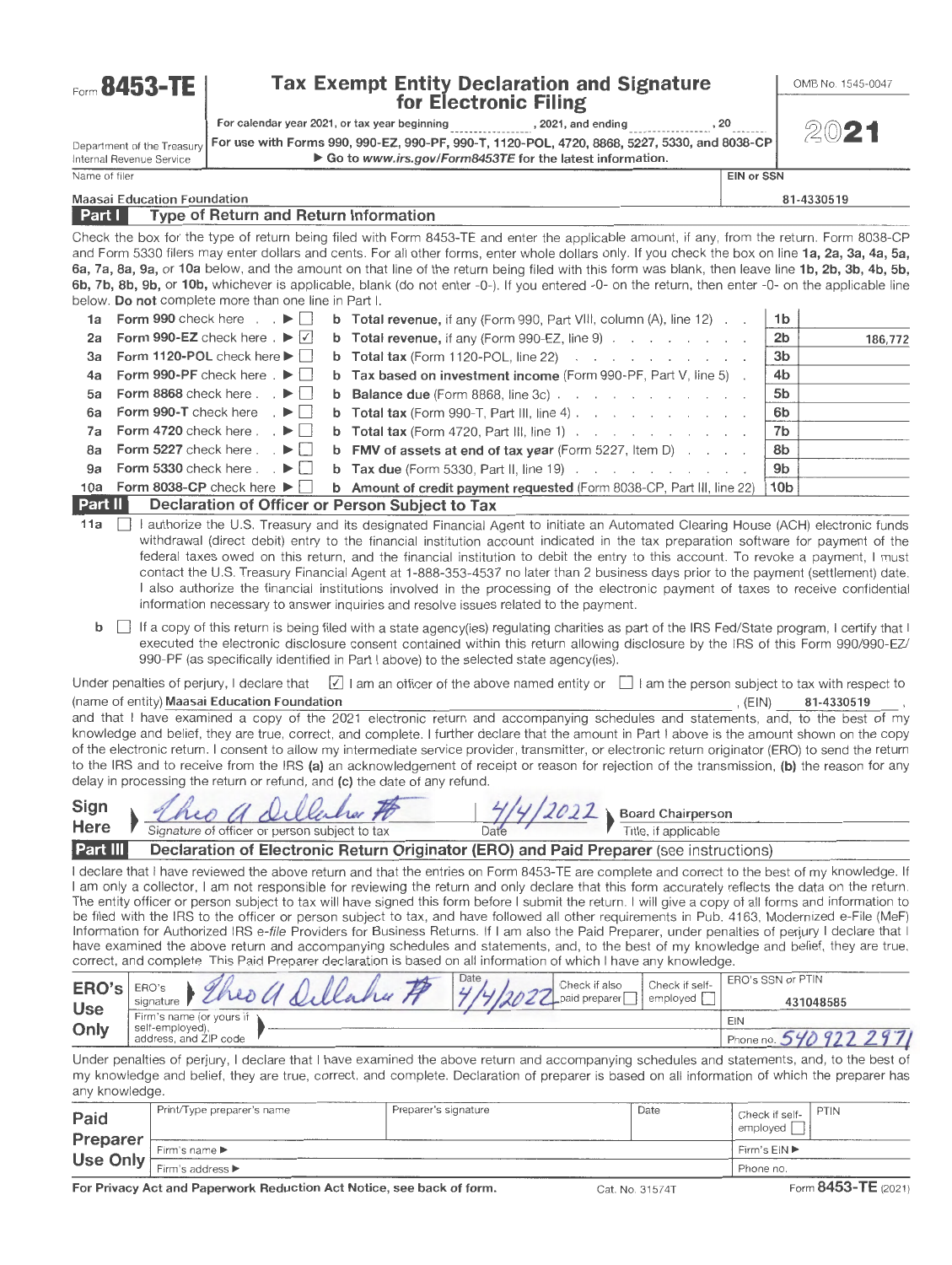| Form 8453-TE |  |  |  |  |  |
|--------------|--|--|--|--|--|
|--------------|--|--|--|--|--|

# **Tax Exempt Entity Declaration and Signature for Electronic Filing**<br>beginning **property** , 2021, and ending

|--|

OMS No. 1545-0047

For calendar year 2021, or tax year beginning • 20 Department of the Treasury **For use with Forms 990, 990-EZ, 990-PF, 990-T, 1120-POL, 4720, 8868, 5227, 5330, and 8038-CP**<br>Go to www.irs.gov/Form8453TE for the latest information.  $\triangleright$  Go to www.irs.gov/Form8453TE for the latest information.

Name of filer **EIN or SSN** 

Maasai Education Foundation 81-4330519

#### Type of Return and Return Information Part I

Check the box for the type of return being filed with Form 8453-TE and enter the applicable amount, if any, from the return. Form 8038-CP and Form 5330 filers may enter dollars and cents. For all other forms, enter whole dollars only. If you check the box on line 1a, 2a, 3a, 4a, 5a, 6a, 7a, Sa, 9a, or 10a below, and the amount on that line of the return being filed with this form was blank, then leave line 1b, 2b, 3b, 4b, Sb, 6b, 7b, Sb, 9b, or 10b, whichever is applicable, blank (do not enter -0-). If you entered -0- on the return, then enter -0- on the applicable line below. Do not complete more than one line in Part I.

| 1a Form 990 check here $\mathbb{R}$                            | <b>b</b> Total revenue, if any (Form 990, Part VIII, column $(A)$ , line 12) $\ldots$                                                        | 1b             |         |
|----------------------------------------------------------------|----------------------------------------------------------------------------------------------------------------------------------------------|----------------|---------|
|                                                                | 2a Form 990-EZ check here $\blacktriangleright \blacktriangleright$ b Total revenue, if any (Form 990-EZ, line 9) $\ldots$ $\ldots$ $\ldots$ | 2b             | 186,772 |
| 3a Form 1120-POL check here $\blacktriangleright$              | <b>b</b> Total tax (Form 1120-POL, line 22) $\ldots$ $\ldots$ $\ldots$ $\ldots$                                                              | 3b             |         |
|                                                                | 4a Form 990-PF check here $\blacktriangleright$   b Tax based on investment income (Form 990-PF, Part V, line 5).                            | 4b             |         |
| 5a Form 8868 check here $\mathbb{R}$ $\mathbb{R}$              | <b>b</b> Balance due (Form 8868, line 3c) $\ldots$ $\ldots$ $\ldots$ $\ldots$ $\ldots$                                                       | 5 <sub>b</sub> |         |
|                                                                | 6a Form 990-T check here $\Box$ b Total tax (Form 990-T, Part III, line 4).                                                                  | 6b             |         |
|                                                                | 7a Form 4720 check here $\Box$ b Total tax (Form 4720, Part III, line 1) $\Box$ $\Box$ $\Box$                                                | 7b             |         |
|                                                                | 8a Form 5227 check here $\Box$ b FMV of assets at end of tax year (Form 5227, Item D) $\Box$                                                 | 8b             |         |
|                                                                | 9a Form 5330 check here. $\blacktriangleright \hspace{0.1cm} \rfloor$ b Tax due (Form 5330, Part II, line 19).                               | 9b             |         |
|                                                                | 10b 10a Form 8038-CP check here L b Amount of credit payment requested (Form 8038-CP, Part III, line 22) [10b                                |                |         |
| <b>Part II</b> Declaration of Officer or Person Subject to Tax |                                                                                                                                              |                |         |

11a | I authorize the U.S. Treasury and its designated Financial Agent to initiate an Automated Clearing House (ACH) electronic funds withdrawal (direct debit) entry to the financial institution account indicated in the tax preparation software for payment of the federal taxes owed on this return, and the financial institution to debit the entry to this account. To revoke a payment, I must contact the U.S. Treasury Financial Agent at 1-888-353-4537 no later than 2 business days prior to the payment (settlement) date. I also authorize the financial institutions involved in the processing of the electronic payment of taxes to receive confidential information necessary to answer inquiries and resolve issues related to the payment.

**b**  $\Box$  If a copy of this return is being filed with a state agency(ies) regulating charities as part of the IRS Fed/State program, I certify that I executed the electronic disclosure consent contained within this return allowing disclosure by the IRS of this Form 990/990-EZ/ 990-PF (as specifically identified in Part I above) to the selected state agency(ies).

Under penalties of perjury, I declare that  $\boxed{2}$  I am an officer of the above named entity or  $\boxed{1}$  i am the person subject to tax with respect to tax in respect to tax with respect to tax with respect to tax with res (name of entity) Maasai Education Foundation  $\mathbf{S}$  and  $\mathbf{S}$  and  $\mathbf{S}$  and  $\mathbf{S}$  (EIN)  $\mathbf{S}$ 

and that I have examined a copy of the 2021 electronic return and accompanying schedules and statements, and, to the best of my knowledge and belief, they are true, correct, and complete. I further declare that the amount in Part I above is the amount shown on the copy of the electronic return. I consent to allow my intermediate service provider, transmitter, or electronic return originator (ERO) to send the return to the IRS and to receive from the IRS (a) an acknowledgement of receipt or reason for rejection of the transmission, (b) the reason for any delay in processing the return or refund, and (c) the date of any refund. A Frequency of officer or person cubiject to tax<br>
Here  $\frac{d\lambda}{d\lambda}$  and consider the same correct, and complete. I further declare that the amount in Part I above is the amount shown on the copy<br>
of the electronic return.

| Sign     | Dillaher 70                                                                            | $\sqrt{11111}$ | <b>A</b> Board Chairperson |  |
|----------|----------------------------------------------------------------------------------------|----------------|----------------------------|--|
| Here     | Signature of officer or person subject to tax                                          |                | Title, if applicable       |  |
| Part III | Declaration of Electronic Return Originator (ERO) and Paid Preparer (see instructions) |                |                            |  |

I declare that I have reviewed the above return and that the entries on Form 8453-TE are complete and correct to the best of my knowledge. If I am only a collector, I am not responsible for reviewing the return and only declare that this form accurately reflects the data on the return. The entity officer or person subject to tax will have signed this form before I submit the return. I will give a copy of all forms and information to be filed with the IRS to the officer or person subject to tax, and have followed all other requirements in Pub. 4163, Modernized e-File (MeF) Information for Authorized IRS e-file Providers for Business Returns. If I am also the Paid Preparer, under penalties of perjury I declare that I dge and belief, they are true,

| have examined the above return and accompanying schedules and statements, and, to the best of my knowled         |  |  |  |  |
|------------------------------------------------------------------------------------------------------------------|--|--|--|--|
| correct, and complete. This Paid Preparer declaration is based on all information of which I have any knowledge. |  |  |  |  |

| ERO's      | ERO's                                    | Date<br>Check if also | Check if self- | ERO's SSN or PTIN    |
|------------|------------------------------------------|-----------------------|----------------|----------------------|
| <b>Use</b> | signature                                | paid preparer         | emploved       | 431048585            |
|            | Firm's name (or yours if                 |                       |                | EIN                  |
| Only       | self-employed),<br>address, and ZIP code |                       |                | Phone n <sub>1</sub> |

Under penalties of perjury, I declare that I have examined the above return and accompanying schedules and statements, and, to the best of my knowledge and belief, they are true, correct, and complete. Declaration of preparer is based on all information of which the preparer has any knowledge.

| Paid                        | Print/Type preparer's name           | Preparer's signature | Date | PTIN<br>Check if self-<br>employed |
|-----------------------------|--------------------------------------|----------------------|------|------------------------------------|
| <b>Preparer</b><br>Use Only | Firm's name ▶                        |                      |      | Firm's EIN ▶                       |
|                             | Firm's address $\blacktriangleright$ |                      |      | Phone no.                          |
| ___                         | .                                    | --                   |      | $0.450$ TF $\ldots$<br>$\sim$      |

For Privacy Act and Paperwork Reduction Act Notice, see back of form. Cat. No. 31574T Form 8453-TE (2021)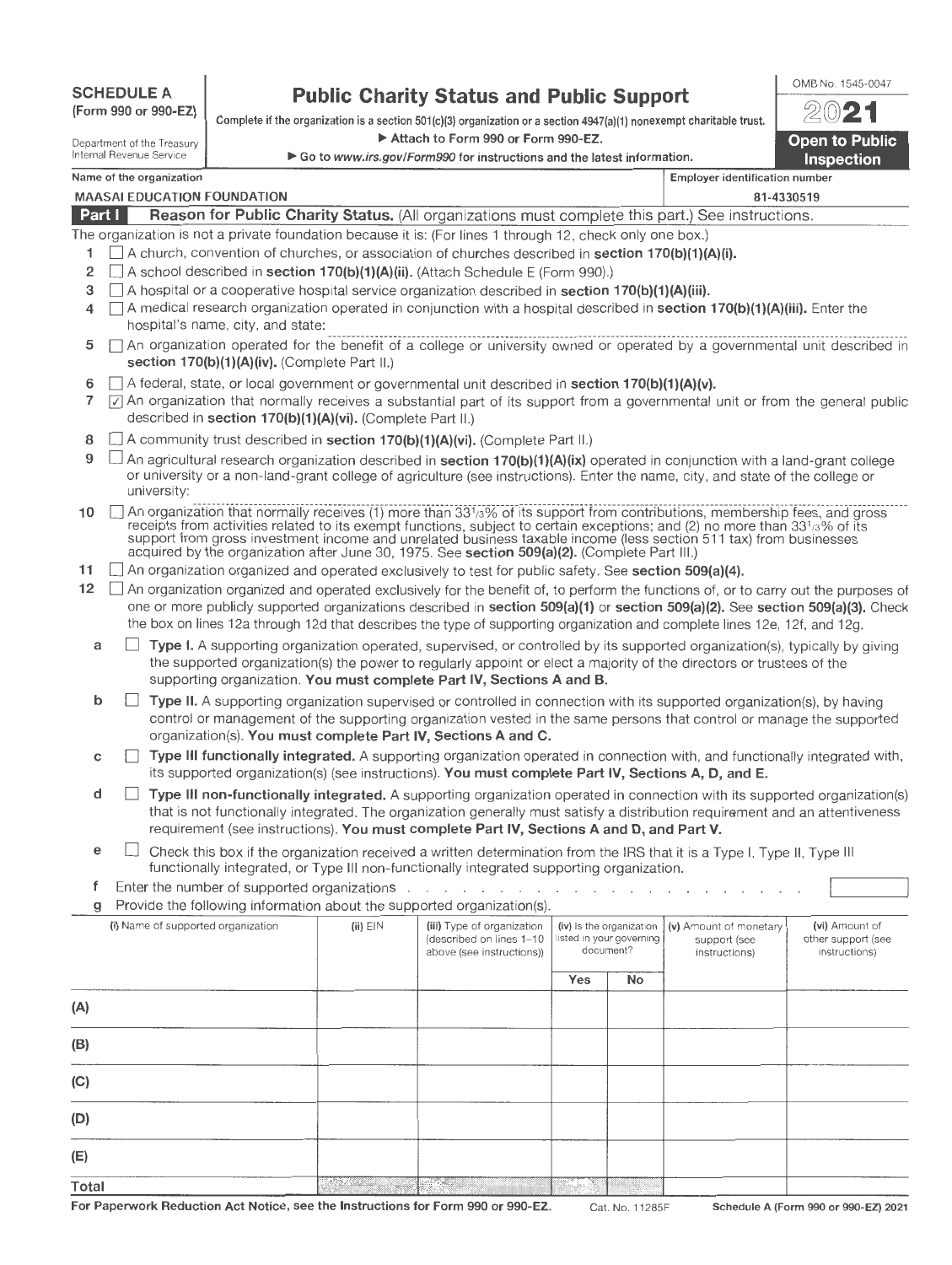| <b>SCHEDULE A</b>    |
|----------------------|
| (Form 990 or 990-EZ) |

# **Public Charity Status and Public Support**

Complete if the organization is a section 501(c)(3) organization or a section 4947(a)(1) nonexempt charitable trust.

Attach to Form 990 or Form 990-EZ.

| <b>Open to Public</b><br><b>Inspection</b> |
|--------------------------------------------|

OMB No. 1545-0047

| Name of the organization |  |  |
|--------------------------|--|--|

Department of the Treasury **Internal Revenue Service .**<br>Internal Revenue Service ... internal Revenue Service ... internal Revenue Service ... **internal Revenue Service** 

| Name of the organization                                                                                   | <b>Employer identification number</b> |  |  |  |  |
|------------------------------------------------------------------------------------------------------------|---------------------------------------|--|--|--|--|
|                                                                                                            |                                       |  |  |  |  |
| <b>MAASAI EDUCATION FOUNDATION</b>                                                                         | 81-4330519                            |  |  |  |  |
|                                                                                                            |                                       |  |  |  |  |
| Part I<br>Reason for Public Charity Status. (All organizations must complete this part.) See instructions. |                                       |  |  |  |  |
| The organization is not a private foundation because it is: (For lines 1 through 12, check only one box.)  |                                       |  |  |  |  |

- 1  $\Box$  A church, convention of churches, or association of churches described in **section 170(b)(1)(A)(i).**
- 2  $\Box$  A school described in **section 170(b)(1)(A)(ii).** (Attach Schedule E (Form 990).)
- 3  $\Box$  A hospital or a cooperative hospital service organization described in section 170(b)(1)(A)(iii).
- 4  $\Box$  A medical research organization operated in conjunction with a hospital described in **section 170(b)(1)(A)(iii).** Enter the hospital's name, city, and state:
- $5$   $\Box$  An organization operated for the benefit of a college or university owned or operated by a governmental unit described in section 170(b)(1)(A)(iv). (Complete Part II.)
- 6  $\Box$  A federal, state, or local government or governmental unit described in **section 170(b)(1)(A)(v).**
- 7  $\boxed{7}$  An organization that normally receives a substantial part of its support from a governmental unit or from the general public described in section 170(b)(1)(A)(vi). (Complete Part II.)
- 8  $\Box$  A community trust described in section 170(b)(1)(A)(vi). (Complete Part II.)
- 9  $\Box$  An agricultural research organization described in section 170(b)(1)(A)(ix) operated in conjunction with a land-grant college or university or a non-land-grant college of agriculture (see instructions). Enter the name, city, and state of the college or university:
- 10  $\Box$  An organization that normally receives (1) more than 33<sup>1</sup>/<sub>3</sub>% of its support from contributions, membership fees, and gross receipts from activities related to its exempt functions, subject to certain exceptions; and (2) no more than 33½% of its<br>support from gross investment income and unrelated business taxable income (less section 511 tax) fr acquired by the organization after June 30, 1975. See section 509(a)(2). (Complete Part III.) ...  $\Box$  An organization organized and operated exclusively to test for public safety. See section 509(a)(4).
- 
- 12  $\Box$  An organization organized and operated exclusively for the benefit of, to perform the functions of, or to carry out the purposes of one or more publicly supported organizations described in section 509(a)(1) or section 509(a)(2). See section 509(a)(3). Check the box on lines 12a through 12d that describes the type of supporting organization and complete lines 12e, 12f, and 12g.
	- a  $\Box$  Type I. A supporting organization operated, supervised, or controlled by its supported organization(s), typically by giving the supported organization(s) the power to regularly appoint or elect a majority of the directors or trustees of the supporting organization. You must complete Part IV, Sections A and B.
	- $\mathsf{b}$   $\Box$  Type II. A supporting organization supervised or controlled in connection with its supported organization(s), by having control or management of the supporting organization vested in the same persons that control or manage the supported organization(s). You must complete Part IV, Sections A and C.
	- $c \Box$  Type III functionally integrated. A supporting organization operated in connection with, and functionally integrated with, its supported organization(s) (see instructions). You must complete Part IV, Sections A, D, and E.
	- $\Box$  Type III non-functionally integrated. A supporting organization operated in connection with its supported organization(s) that is not functionally integrated . The organization generally must satisfy a distribution requirement and an attentiveness requirement (see instructions). You must complete Part IV, Sections A and D, and Part V.
	- $e \Box$  Check this box if the organization received a written determination from the IRS that it is a Type I, Type II, Type III functionally integrated, or Type Ill non-functionally integrated supporting organization.
	- f Enter the number of supported organizations . . . . . . . . .
	- g Provide the following information about the supported organization(s)

| (i) Name of supported organization | $(ii)$ $EIN$ | (iii) Type of organization<br>(described on lines 1-10<br>above (see instructions)) |     | (iv) Is the organization<br>listed in your governing<br>document? | (v) Amount of monetary<br>support (see<br>instructions) | (vi) Amount of<br>other support (see<br>instructions) |  |
|------------------------------------|--------------|-------------------------------------------------------------------------------------|-----|-------------------------------------------------------------------|---------------------------------------------------------|-------------------------------------------------------|--|
|                                    |              |                                                                                     | Yes | No                                                                |                                                         |                                                       |  |
| (A)                                |              |                                                                                     |     |                                                                   |                                                         |                                                       |  |
| (B)                                |              |                                                                                     |     |                                                                   |                                                         |                                                       |  |
| (C)                                |              |                                                                                     |     |                                                                   |                                                         |                                                       |  |
| (D)                                |              |                                                                                     |     |                                                                   |                                                         |                                                       |  |
| (E)                                |              |                                                                                     |     |                                                                   |                                                         |                                                       |  |
| Total                              | Alismus      |                                                                                     |     |                                                                   |                                                         |                                                       |  |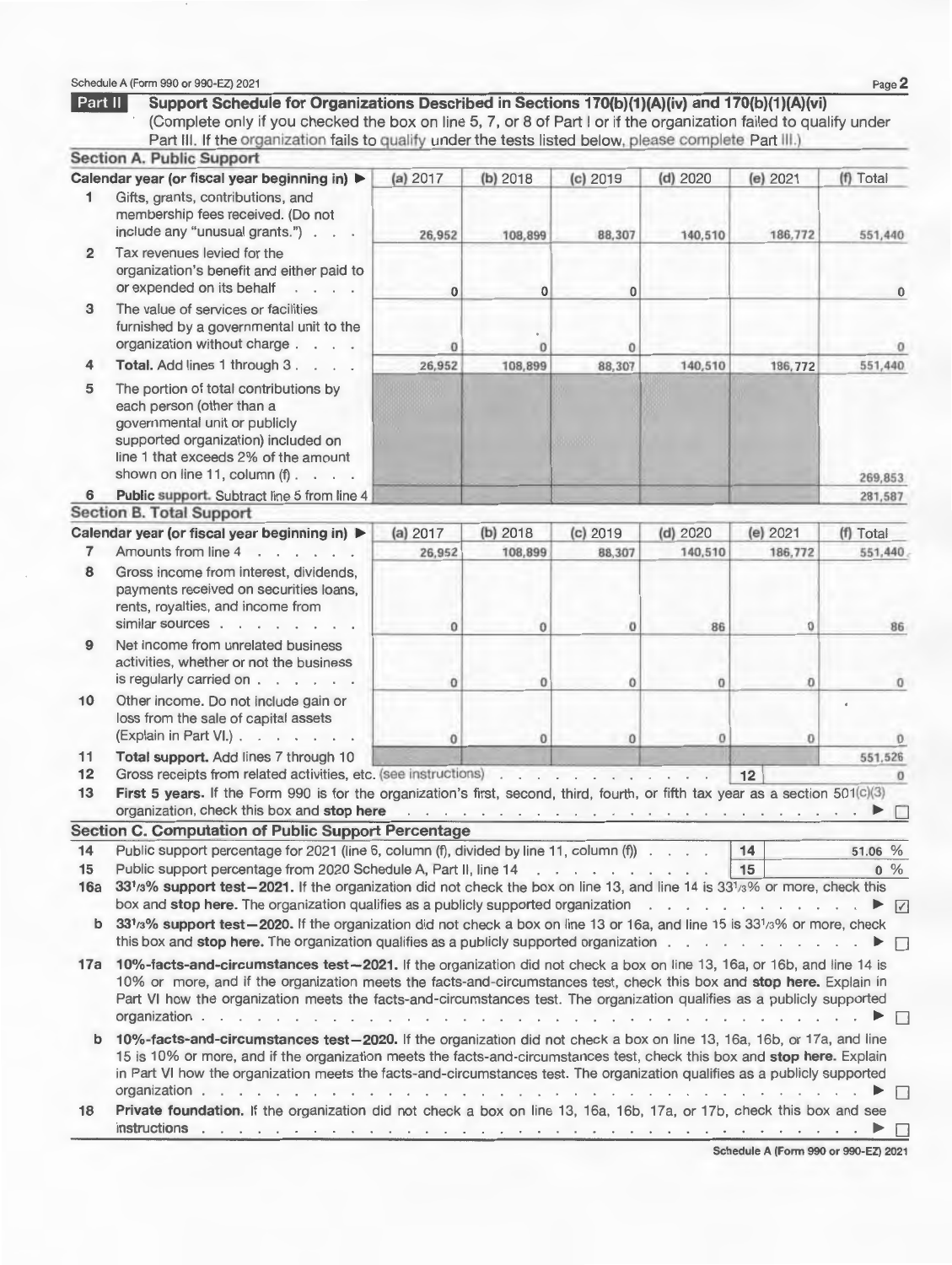#### Schedule A (Form 990 or 990-EZ) 2021 Page  $2$

| Part II         | Support Schedule for Organizations Described in Sections 170(b)(1)(A)(iv) and 170(b)(1)(A)(vi)<br>(Complete only if you checked the box on line 5, 7, or 8 of Part I or if the organization failed to qualify under<br>Part III. If the organization fails to qualify under the tests listed below, please complete Part III.)                                                                                                                                                                                                                                                                                    |          |                                                |              |                                                                                                                                                                                                                                |          |                  |
|-----------------|-------------------------------------------------------------------------------------------------------------------------------------------------------------------------------------------------------------------------------------------------------------------------------------------------------------------------------------------------------------------------------------------------------------------------------------------------------------------------------------------------------------------------------------------------------------------------------------------------------------------|----------|------------------------------------------------|--------------|--------------------------------------------------------------------------------------------------------------------------------------------------------------------------------------------------------------------------------|----------|------------------|
|                 | <b>Section A. Public Support</b>                                                                                                                                                                                                                                                                                                                                                                                                                                                                                                                                                                                  |          |                                                |              |                                                                                                                                                                                                                                |          |                  |
|                 | Calendar year (or fiscal year beginning in) $\blacktriangleright$                                                                                                                                                                                                                                                                                                                                                                                                                                                                                                                                                 | (a) 2017 | (b) 2018                                       | $(c)$ 2019   | $(d)$ 2020                                                                                                                                                                                                                     | (e) 2021 | (f) Total        |
| 1               | Gifts, grants, contributions, and<br>membership fees received. (Do not<br>include any "unusual grants.")                                                                                                                                                                                                                                                                                                                                                                                                                                                                                                          | 26,952   | 108,899                                        | 88,307       | 140,510                                                                                                                                                                                                                        | 186,772  | 551,440          |
| $\overline{2}$  | Tax revenues levied for the<br>organization's benefit and either paid to<br>or expended on its behalf                                                                                                                                                                                                                                                                                                                                                                                                                                                                                                             | $\bf{0}$ | $\bf{0}$                                       | $\bf{0}$     |                                                                                                                                                                                                                                |          | $\bf{0}$         |
| 3               | The value of services or facilities<br>furnished by a governmental unit to the<br>organization without charge                                                                                                                                                                                                                                                                                                                                                                                                                                                                                                     | 0        | $\Omega$                                       | $\mathbf{0}$ |                                                                                                                                                                                                                                |          |                  |
| 4               | Total. Add lines 1 through 3.                                                                                                                                                                                                                                                                                                                                                                                                                                                                                                                                                                                     | 26,952   | 108,899                                        | 88,307       | 140,510                                                                                                                                                                                                                        | 186,772  | 551,440          |
| 5               | The portion of total contributions by<br>each person (other than a<br>governmental unit or publicly<br>supported organization) included on<br>line 1 that exceeds 2% of the amount<br>shown on line 11, column (f)                                                                                                                                                                                                                                                                                                                                                                                                |          |                                                |              |                                                                                                                                                                                                                                |          | 269,853          |
| 6               | Public support. Subtract line 5 from line 4                                                                                                                                                                                                                                                                                                                                                                                                                                                                                                                                                                       |          |                                                |              |                                                                                                                                                                                                                                |          | 281,587          |
|                 | <b>Section B. Total Support</b>                                                                                                                                                                                                                                                                                                                                                                                                                                                                                                                                                                                   |          |                                                |              |                                                                                                                                                                                                                                |          |                  |
|                 | Calendar year (or fiscal year beginning in) ▶                                                                                                                                                                                                                                                                                                                                                                                                                                                                                                                                                                     | (a) 2017 | (b) 2018                                       | $(c)$ 2019   | $(d)$ 2020                                                                                                                                                                                                                     | (e) 2021 | (f) Total        |
| 7               | Amounts from line 4                                                                                                                                                                                                                                                                                                                                                                                                                                                                                                                                                                                               | 26,952   | 108,899                                        | 88,307       | 140,510                                                                                                                                                                                                                        | 186,772  | 551,440          |
| 8               | Gross income from interest, dividends,<br>payments received on securities loans,<br>rents, royalties, and income from<br>similar sources                                                                                                                                                                                                                                                                                                                                                                                                                                                                          | $\Omega$ | $\bf{0}$                                       | $\sigma$     | 86                                                                                                                                                                                                                             | $\bf{0}$ | 86               |
| 9               | Net income from unrelated business<br>activities, whether or not the business<br>is regularly carried on                                                                                                                                                                                                                                                                                                                                                                                                                                                                                                          | $\Omega$ | o                                              | $\mathbf{O}$ | $\bf{0}$                                                                                                                                                                                                                       | $\Omega$ | 0                |
| 10              | Other income. Do not include gain or<br>loss from the sale of capital assets<br>(Explain in Part VI.)                                                                                                                                                                                                                                                                                                                                                                                                                                                                                                             | $\bf{0}$ | $\mathbf{0}$                                   | $\bf{0}$     | $\bf{0}$                                                                                                                                                                                                                       | 0        | $\Omega$         |
| 11              | Total support. Add lines 7 through 10                                                                                                                                                                                                                                                                                                                                                                                                                                                                                                                                                                             |          |                                                |              |                                                                                                                                                                                                                                |          | 551,526          |
| 12              | Gross receipts from related activities, etc. (see instructions)                                                                                                                                                                                                                                                                                                                                                                                                                                                                                                                                                   |          |                                                |              |                                                                                                                                                                                                                                | 12       | $\sigma$         |
| 13              | First 5 years. If the Form 990 is for the organization's first, second, third, fourth, or fifth tax year as a section 501(c)(3)<br>organization, check this box and stop here                                                                                                                                                                                                                                                                                                                                                                                                                                     |          | a company of the company of the company of the |              |                                                                                                                                                                                                                                |          |                  |
|                 | <b>Section C. Computation of Public Support Percentage</b>                                                                                                                                                                                                                                                                                                                                                                                                                                                                                                                                                        |          |                                                |              |                                                                                                                                                                                                                                |          |                  |
| 14<br>15<br>16a | Public support percentage for 2021 (line 6, column (f), divided by line 11, column (f))<br>Public support percentage from 2020 Schedule A, Part II, line 14<br>33 <sup>1</sup> /3% support test-2021. If the organization did not check the box on line 13, and line 14 is 33 <sup>1</sup> /3% or more, check this                                                                                                                                                                                                                                                                                                |          |                                                |              |                                                                                                                                                                                                                                | 14<br>15 | 51.06 %<br>$0\%$ |
| b               | 331/3% support test-2020. If the organization did not check a box on line 13 or 16a, and line 15 is 331/3% or more, check<br>this box and stop here. The organization qualifies as a publicly supported organization $\ldots$ ,                                                                                                                                                                                                                                                                                                                                                                                   |          |                                                |              |                                                                                                                                                                                                                                |          |                  |
| 17a             | 10%-facts-and-circumstances test-2021. If the organization did not check a box on line 13, 16a, or 16b, and line 14 is<br>10% or more, and if the organization meets the facts-and-circumstances test, check this box and stop here. Explain in<br>Part VI how the organization meets the facts-and-circumstances test. The organization qualifies as a publicly supported<br>organization                                                                                                                                                                                                                        |          |                                                |              | and the control of the control of the control of the control of the control of the control of the control of the control of the control of the control of the control of the control of the control of the control of the cont |          |                  |
| b               | 10%-facts-and-circumstances test-2020. If the organization did not check a box on line 13, 16a, 16b, or 17a, and line<br>15 is 10% or more, and if the organization meets the facts-and-circumstances test, check this box and stop here. Explain<br>in Part VI how the organization meets the facts-and-circumstances test. The organization qualifies as a publicly supported<br>organization by the contract of the contract of the contract of the contract of the contract of the contract of the contract of the contract of the contract of the contract of the contract of the contract of the contract o |          |                                                |              |                                                                                                                                                                                                                                |          | $\blacksquare$   |
| 18              | Private foundation. If the organization did not check a box on line 13, 16a, 16b, 17a, or 17b, check this box and see                                                                                                                                                                                                                                                                                                                                                                                                                                                                                             |          |                                                |              |                                                                                                                                                                                                                                |          |                  |

Schedule A (Form 990 or 990-EZ) 2021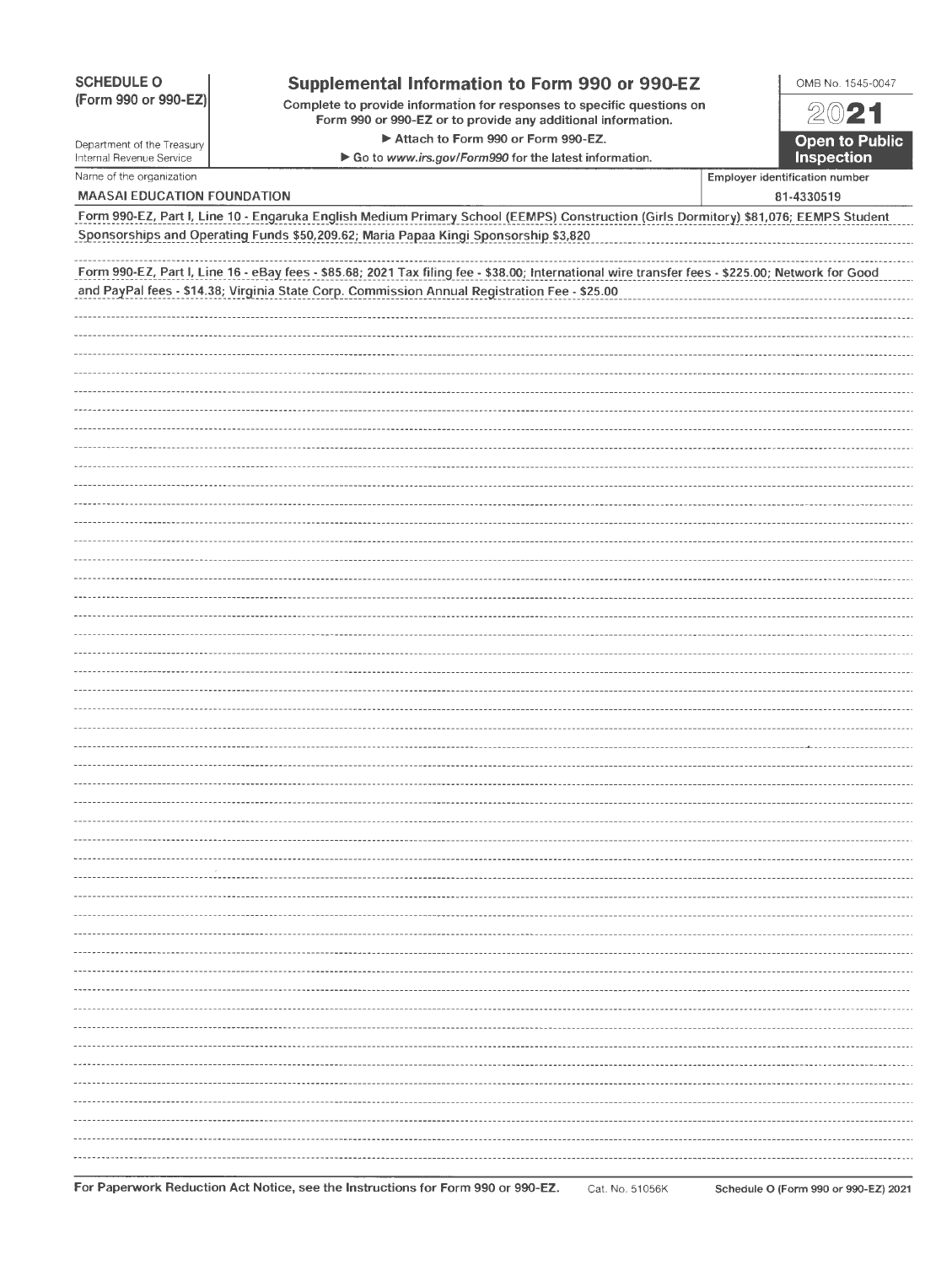| <b>SCHEDULE O</b>                                    | Supplemental Information to Form 990 or 990-EZ                                                                                                   | OMB No. 1545-0047 |                                              |
|------------------------------------------------------|--------------------------------------------------------------------------------------------------------------------------------------------------|-------------------|----------------------------------------------|
| (Form 990 or 990-EZ)                                 | Complete to provide information for responses to specific questions on<br>Form 990 or 990-EZ or to provide any additional information.           |                   | 2021                                         |
| Department of the Treasury                           | Attach to Form 990 or Form 990-EZ.                                                                                                               |                   | <b>Open to Public</b>                        |
| Internal Revenue Service<br>Name of the organization | Go to www.irs.gov/Form990 for the latest information.                                                                                            |                   | Inspection                                   |
| <b>MAASAI EDUCATION FOUNDATION</b>                   |                                                                                                                                                  |                   | Employer identification number<br>81-4330519 |
|                                                      | Form 990-EZ, Part I, Line 10 - Engaruka English Medium Primary School (EEMPS) Construction (Girls Dormitory) \$81,076; EEMPS Student             |                   |                                              |
|                                                      | Sponsorships and Operating Funds \$50,209.62; Maria Papaa Kingi Sponsorship \$3,820                                                              |                   |                                              |
|                                                      | Form 990-EZ, Part I, Line 16 - eBay fees - \$85.68; 2021 Tax filing fee - \$38.00; International wire transfer fees - \$225.00; Network for Good |                   |                                              |
|                                                      | and PayPal fees - \$14.38; Virginia State Corp. Commission Annual Registration Fee - \$25.00                                                     |                   |                                              |
|                                                      |                                                                                                                                                  |                   |                                              |
|                                                      |                                                                                                                                                  |                   |                                              |
|                                                      |                                                                                                                                                  |                   |                                              |
|                                                      |                                                                                                                                                  |                   |                                              |
|                                                      |                                                                                                                                                  |                   |                                              |
|                                                      |                                                                                                                                                  |                   |                                              |
|                                                      |                                                                                                                                                  |                   |                                              |
|                                                      |                                                                                                                                                  |                   |                                              |
|                                                      |                                                                                                                                                  |                   |                                              |
|                                                      |                                                                                                                                                  |                   |                                              |
|                                                      |                                                                                                                                                  |                   |                                              |
|                                                      |                                                                                                                                                  |                   |                                              |
|                                                      |                                                                                                                                                  |                   |                                              |
|                                                      |                                                                                                                                                  |                   |                                              |
|                                                      |                                                                                                                                                  |                   |                                              |
|                                                      |                                                                                                                                                  |                   |                                              |
|                                                      |                                                                                                                                                  |                   |                                              |
|                                                      |                                                                                                                                                  |                   |                                              |
|                                                      |                                                                                                                                                  |                   |                                              |
|                                                      |                                                                                                                                                  |                   |                                              |
|                                                      |                                                                                                                                                  |                   |                                              |
|                                                      |                                                                                                                                                  |                   |                                              |
|                                                      |                                                                                                                                                  |                   |                                              |
|                                                      |                                                                                                                                                  |                   |                                              |
|                                                      |                                                                                                                                                  |                   |                                              |
|                                                      |                                                                                                                                                  |                   |                                              |
|                                                      |                                                                                                                                                  |                   |                                              |
|                                                      |                                                                                                                                                  |                   |                                              |
|                                                      |                                                                                                                                                  |                   |                                              |
|                                                      |                                                                                                                                                  |                   |                                              |
|                                                      |                                                                                                                                                  |                   |                                              |
|                                                      |                                                                                                                                                  |                   |                                              |
|                                                      |                                                                                                                                                  |                   |                                              |
|                                                      |                                                                                                                                                  |                   |                                              |
|                                                      |                                                                                                                                                  |                   |                                              |
|                                                      |                                                                                                                                                  |                   |                                              |

 $1.11$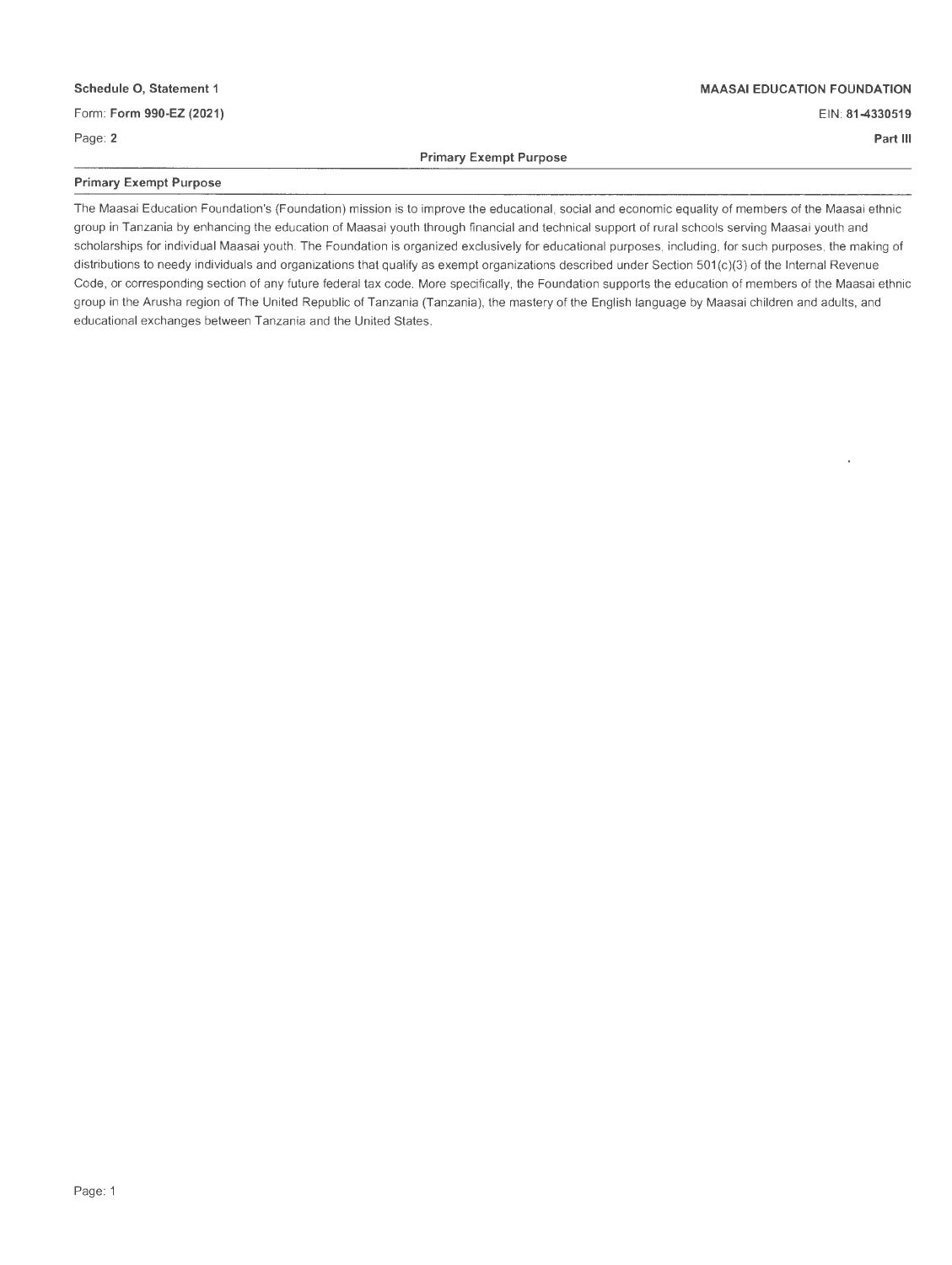#### **Schedule 0, Statement 1**

#### Form: **Form 990-EZ (2021)**

Page: **2** 

#### **MAASAI EDUCATION FOUNDATION**

EIN: **81-4330519** 

**Part Ill** 

**Primary Exempt Purpose** 

#### **Primary Exempt Purpose**

The Maasai Education Foundation's (Foundation) mission is to improve the educational , social and economic equality of members of the Maasai ethnic group in Tanzania by enhancing the education of Maasai youth through financial and technical support of rural schools serving Maasai youth and scholarships for individual Maasai youth. The Foundation is organized exclusively for educational purposes, including, for such purposes, the making of distributions to needy individuals and organizations that qualify as exempt organizations described under Section 501 (c)(3) of the Internal Revenue Code, or corresponding section of any future federal tax code. More specifically, the Foundation supports the education of members of the Maasai ethnic group in the Arusha region of The United Republic of Tanzania (Tanzania), the mastery of the English language by Maasai children and adults, and educational exchanges between Tanzania and the United States.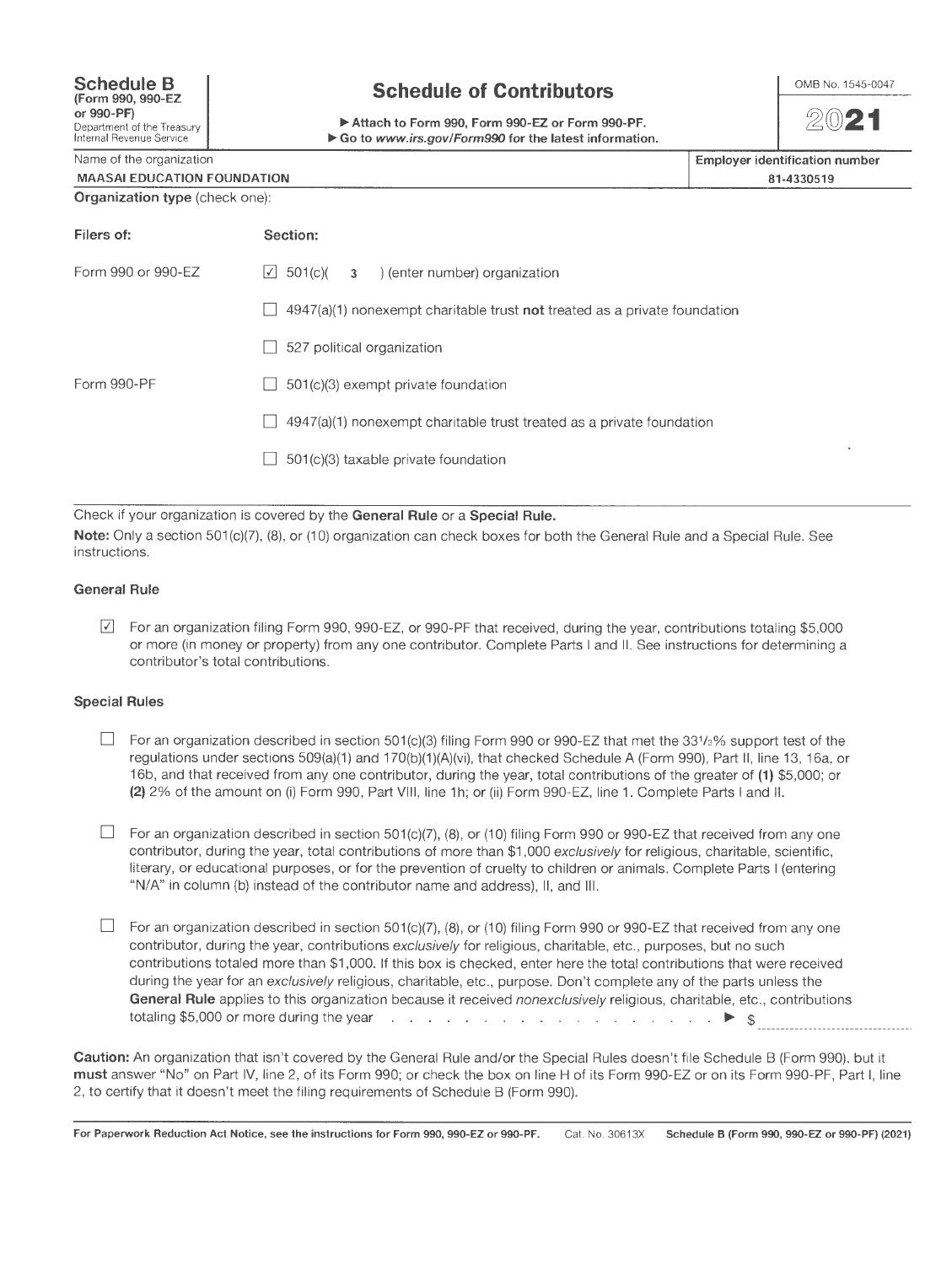## **Schedule of Contributors**

~Attach to Form 990, Form 990-EZ or Form 990-PF. ▶ Go to www.irs.gov/Form990 for the latest information.



 $20$ 21

Name of the organization

MAASAI EDUCATION FOUNDATION Organization type (check one):

| <b>Employer identification number</b> |
|---------------------------------------|
| 81-4330519                            |

| Filers of:         | Section:                                                                           |
|--------------------|------------------------------------------------------------------------------------|
| Form 990 or 990-EZ | $\vert$ 501(c)( $\vert$ 3 ) (enter number) organization                            |
|                    | $4947(a)(1)$ nonexempt charitable trust <b>not</b> treated as a private foundation |
|                    | 527 political organization                                                         |
| Form 990-PF        | 501(c)(3) exempt private foundation                                                |
|                    | $4947(a)(1)$ nonexempt charitable trust treated as a private foundation            |
|                    | 501(c)(3) taxable private foundation                                               |
|                    |                                                                                    |

Check if your organization is covered by the General Rule or a Special Rule. Note: Only a section 501(c)(7), (8), or (10) organization can check boxes for both the General Rule and a Special Rule. See instructions.

#### General Rule

 $\boxed{2}$  For an organization filing Form 990, 990-EZ, or 990-PF that received, during the year, contributions totaling \$5,000 or more (in money or property) from any one contributor. Complete Parts I and II. See instructions for determining a contributor's total contributions.

### **Special Rules**

- $\Box$  For an organization described in section 501(c)(3) filing Form 990 or 990-EZ that met the 331/3% support test of the regulations under sections 509(a)(1) and 170(b)(1)(A)(vi), that checked Schedule A (Form 990), Part II, line 13, 16a, or 16b, and that received from any one contributor, during the year, total contributions of the greater of (1} \$5,000; or (2) 2% of the amount on (i) Form 990, Part VIII , line 1 h; or (ii) Form 990-EZ, line 1. Complete Parts I and II.
- $\Box$  For an organization described in section 501(c)(7), (8), or (10) filing Form 990 or 990-EZ that received from any one contributor, during the year, total contributions of more than \$1,000 exclusively for religious, charitable, scientific, literary, or educational purposes, or for the prevention of cruelty to children or animals. Complete Parts I (entering "N/A" in column (b) instead of the contributor name and address), II, and Ill.
- $\Box$  For an organization described in section 501(c)(7), (8), or (10) filing Form 990 or 990-EZ that received from any one contributor, during the year, contributions exclusively for religious, charitable, etc., purposes, but no such contributions totaled more than \$1 ,000. If this box is checked, enter here the total contributions that were received during the year for an exclusively religious, charitable, etc., purpose. Don't complete any of the parts unless the General Rule applies to this organization because it received nonexclusively religious, charitable, etc., contributions totaling \$5,000 or more during the year . .,.. \$

Caution: An organization that isn't covered by the General Rule and/or the Special Rules doesn't file Schedule B (Form 990), but it must answer "No" on Part IV, line 2, of its Form 990; or check the box on line H of its Form 990-EZ or on its Form 990-PF, Part I, line 2, to certify that it doesn't meet the filing requirements of Schedule B (Form 990).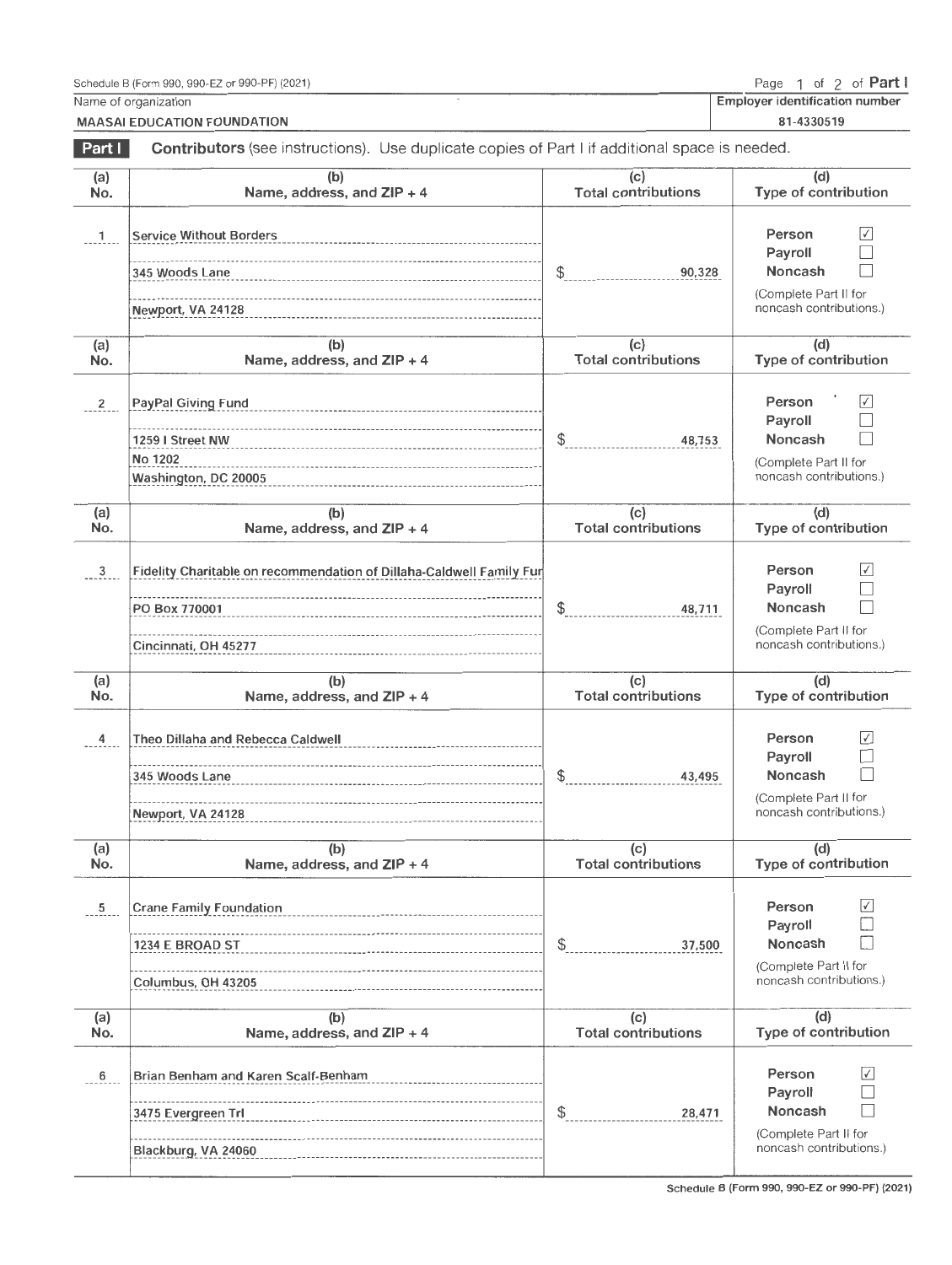Name of organization MAASAI EDUCATION FOUNDATION Employer identification number

81 -4330519

| Part I         | Contributors (see instructions). Use duplicate copies of Part I if additional space is needed.                |                                   |                                                                                                            |  |  |
|----------------|---------------------------------------------------------------------------------------------------------------|-----------------------------------|------------------------------------------------------------------------------------------------------------|--|--|
| (a)<br>No.     | (b)<br>Name, address, and ZIP + 4                                                                             | (c)<br><b>Total contributions</b> | (d)<br>Type of contribution                                                                                |  |  |
| $\overline{1}$ | <b>Service Without Borders</b><br>345 Woods Lane<br>Newport, VA 24128                                         | \$<br>90,328                      | Person<br>$\checkmark$<br>Payroll<br>Noncash<br>(Complete Part II for<br>noncash contributions.)           |  |  |
| (a)<br>No.     | (b)<br>Name, address, and ZIP + 4                                                                             | (c)<br><b>Total contributions</b> | (d)<br>Type of contribution                                                                                |  |  |
| $\overline{2}$ | PayPal Giving Fund<br>1259 I Street NW<br>No 1202<br>Washington, DC 20005                                     | \$<br>48,753                      | Person<br>$\sqrt{}$<br>Payroll<br><b>Noncash</b><br>(Complete Part II for<br>noncash contributions.)       |  |  |
| (a)<br>No.     | (b)<br>Name, address, and ZIP + 4                                                                             | (c)<br><b>Total contributions</b> | (d)<br>Type of contribution                                                                                |  |  |
| $\frac{3}{2}$  | Fidelity Charitable on recommendation of Dillaha-Caldwell Family Fur<br>PO Box 770001<br>Cincinnati, OH 45277 | \$<br>48,711                      | Person<br>$\sqrt{}$<br>Payroll<br><b>Noncash</b><br>(Complete Part II for<br>noncash contributions.)       |  |  |
| (a)<br>No.     | (b)<br>Name, address, and ZIP + 4                                                                             | (c)<br><b>Total contributions</b> | (d)<br>Type of contribution                                                                                |  |  |
| 4              | Theo Dillaha and Rebecca Caldwell<br>345 Woods Lane<br>Newport, VA 24128                                      | \$<br>43,495                      | Person<br>$ \mathcal{N} $<br>Payroll<br><b>Noncash</b><br>(Complete Part II for<br>noncash contributions.) |  |  |
| (a)<br>No.     | (b)<br>Name, address, and $ZIP + 4$                                                                           | (c)<br>Total contributions        | (d)<br>Type of contribution                                                                                |  |  |
| 5              | <b>Crane Family Foundation</b><br>1234 E BROAD ST<br>Columbus, OH 43205                                       | \$<br>37,500                      | Person<br>$\checkmark$<br>Payroll<br>Noncash<br>(Complete Part II for<br>noncash contributions.)           |  |  |
| (a)<br>No.     | (b)<br>Name, address, and ZIP + 4                                                                             | (c)<br><b>Total contributions</b> | (d)<br>Type of contribution                                                                                |  |  |
| 6              | Brian Benham and Karen Scalf-Benham<br>3475 Evergreen Trl                                                     | \$<br>28,471                      | Person<br>$\checkmark$<br>Payroll<br><b>Noncash</b>                                                        |  |  |

Schedule B (Form 990, 990-EZ or 990-PF) (2021)